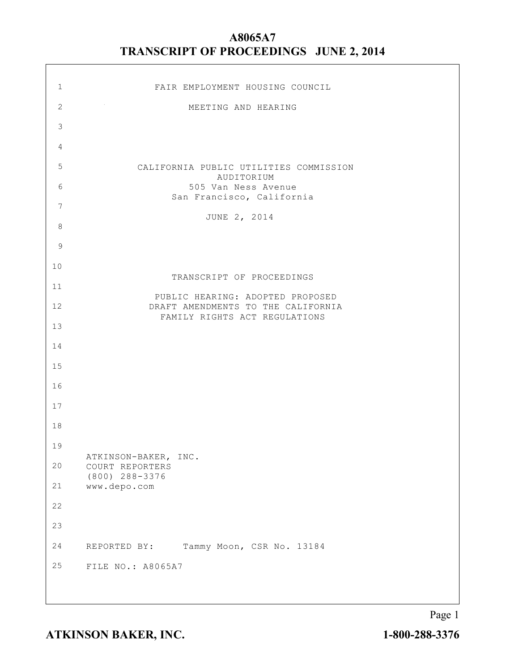| $\mathbf 1$    | FAIR EMPLOYMENT HOUSING COUNCIL                                        |
|----------------|------------------------------------------------------------------------|
| $\mathbf{2}$   | MEETING AND HEARING                                                    |
| $\mathfrak{Z}$ |                                                                        |
| 4              |                                                                        |
| $\mathsf S$    | CALIFORNIA PUBLIC UTILITIES COMMISSION                                 |
| 6              | AUDITORIUM<br>505 Van Ness Avenue                                      |
| 7              | San Francisco, California                                              |
| 8              | JUNE 2, 2014                                                           |
| $\overline{9}$ |                                                                        |
| $10$           |                                                                        |
| 11             | TRANSCRIPT OF PROCEEDINGS                                              |
| 12             | PUBLIC HEARING: ADOPTED PROPOSED<br>DRAFT AMENDMENTS TO THE CALIFORNIA |
| 13             | FAMILY RIGHTS ACT REGULATIONS                                          |
| 14             |                                                                        |
| 15             |                                                                        |
| 16             |                                                                        |
| 17             |                                                                        |
| 18             |                                                                        |
| 19             |                                                                        |
| $20$           | ATKINSON-BAKER, INC.<br>COURT REPORTERS                                |
| 21             | (800) 288-3376<br>www.depo.com                                         |
| 22             |                                                                        |
| 23             |                                                                        |
| 24             | Tammy Moon, CSR No. 13184<br>REPORTED BY:                              |
| 25             | FILE NO.: A8065A7                                                      |
|                |                                                                        |
|                |                                                                        |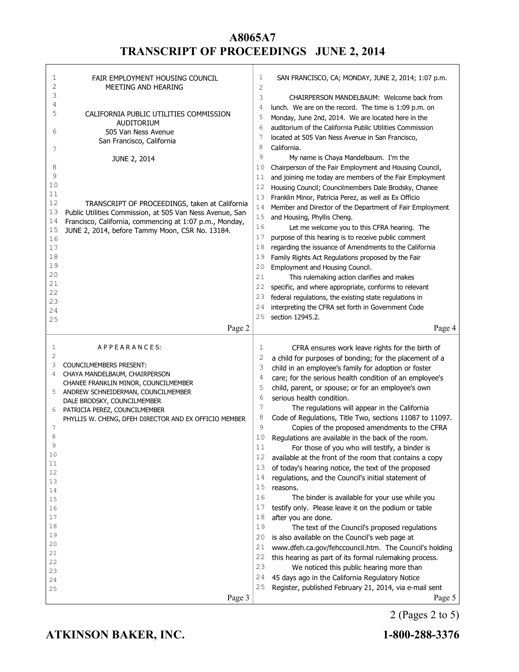| 1<br>$\overline{c}$ | FAIR EMPLOYMENT HOUSING COUNCIL<br>MEETING AND HEARING                                                     | 1<br>2   | SAN FRANCISCO, CA; MONDAY, JUNE 2, 2014; 1:07 p.m.                                                              |
|---------------------|------------------------------------------------------------------------------------------------------------|----------|-----------------------------------------------------------------------------------------------------------------|
| 3                   |                                                                                                            | 3        | CHAIRPERSON MANDELBAUM: Welcome back from                                                                       |
| 4<br>5              | CALIFORNIA PUBLIC UTILITIES COMMISSION                                                                     | 4        | lunch. We are on the record. The time is 1:09 p.m. on                                                           |
|                     | AUDITORIUM                                                                                                 | 5        | Monday, June 2nd, 2014. We are located here in the                                                              |
| 6                   | 505 Van Ness Avenue                                                                                        | 6        | auditorium of the California Public Utilities Commission                                                        |
|                     | San Francisco, California                                                                                  | 7        | located at 505 Van Ness Avenue in San Francisco,                                                                |
| 7                   |                                                                                                            | 8        | California.                                                                                                     |
|                     | JUNE 2, 2014                                                                                               | 9        | My name is Chaya Mandelbaum. I'm the                                                                            |
| 8<br>9              |                                                                                                            | 10<br>11 | Chairperson of the Fair Employment and Housing Council,                                                         |
| 10                  |                                                                                                            | 12       | and joining me today are members of the Fair Employment<br>Housing Council; Councilmembers Dale Brodsky, Chanee |
| 11                  |                                                                                                            | 13       | Franklin Minor, Patricia Perez, as well as Ex Officio                                                           |
| 12                  | TRANSCRIPT OF PROCEEDINGS, taken at California                                                             | 14       | Member and Director of the Department of Fair Employment                                                        |
| 13                  | Public Utilities Commission, at 505 Van Ness Avenue, San                                                   | 15       | and Housing, Phyllis Cheng.                                                                                     |
| 14<br>15            | Francisco, California, commencing at 1:07 p.m., Monday,<br>JUNE 2, 2014, before Tammy Moon, CSR No. 13184. | 16       | Let me welcome you to this CFRA hearing. The                                                                    |
| 16                  |                                                                                                            | 17       | purpose of this hearing is to receive public comment                                                            |
| 17                  |                                                                                                            | 18       | regarding the issuance of Amendments to the California                                                          |
| 18                  |                                                                                                            | 19       | Family Rights Act Regulations proposed by the Fair                                                              |
| 19                  |                                                                                                            | 20       | Employment and Housing Council.                                                                                 |
| 20                  |                                                                                                            | 21       | This rulemaking action clarifies and makes                                                                      |
| 21<br>22            |                                                                                                            | 22       | specific, and where appropriate, conforms to relevant                                                           |
| 23                  |                                                                                                            | 23       | federal regulations, the existing state regulations in                                                          |
| 24                  |                                                                                                            | 24       | interpreting the CFRA set forth in Government Code                                                              |
| 25                  |                                                                                                            | 25       | section 12945.2.                                                                                                |
|                     | Page 2                                                                                                     |          | Page 4                                                                                                          |
|                     |                                                                                                            |          |                                                                                                                 |
| 1                   | APPEARANCES:                                                                                               |          |                                                                                                                 |
| 2                   |                                                                                                            | 1<br>2   | CFRA ensures work leave rights for the birth of                                                                 |
| 3                   | COUNCILMEMBERS PRESENT:                                                                                    | 3        | a child for purposes of bonding; for the placement of a                                                         |
| 4                   | CHAYA MANDELBAUM, CHAIRPERSON                                                                              | 4        | child in an employee's family for adoption or foster<br>care; for the serious health condition of an employee's |
|                     | CHANEE FRANKLIN MINOR, COUNCILMEMBER                                                                       | 5        | child, parent, or spouse; or for an employee's own                                                              |
| 5                   | ANDREW SCHNEIDERMAN, COUNCILMEMBER                                                                         | 6        | serious health condition.                                                                                       |
| 6                   | DALE BRODSKY, COUNCILMEMBER<br>PATRICIA PEREZ, COUNCILMEMBER                                               | 7        | The regulations will appear in the California                                                                   |
|                     | PHYLLIS W. CHENG, DFEH DIRECTOR AND EX OFFICIO MEMBER                                                      | 8        | Code of Regulations, Title Two, sections 11087 to 11097.                                                        |
| 7                   |                                                                                                            | 9        | Copies of the proposed amendments to the CFRA                                                                   |
| 8                   |                                                                                                            | 10       | Regulations are available in the back of the room.                                                              |
| 9                   |                                                                                                            | 11       | For those of you who will testify, a binder is                                                                  |
| 10<br>11            |                                                                                                            | 12       | available at the front of the room that contains a copy                                                         |
| 12                  |                                                                                                            | 13       | of today's hearing notice, the text of the proposed                                                             |
| 13                  |                                                                                                            | 14       | regulations, and the Council's initial statement of                                                             |
| 14                  |                                                                                                            | 15       | reasons.                                                                                                        |
| 15                  |                                                                                                            | 16<br>17 | The binder is available for your use while you                                                                  |
| 16<br>17            |                                                                                                            | 18       | testify only. Please leave it on the podium or table                                                            |
| 18                  |                                                                                                            | 19       | after you are done.<br>The text of the Council's proposed regulations                                           |
| 19                  |                                                                                                            | 20       | is also available on the Council's web page at                                                                  |
| 20                  |                                                                                                            | 21       | www.dfeh.ca.gov/fehccouncil.htm. The Council's holding                                                          |
| 21                  |                                                                                                            | 22       | this hearing as part of its formal rulemaking process.                                                          |
| 22<br>23            |                                                                                                            | 23       | We noticed this public hearing more than                                                                        |
| 24                  |                                                                                                            | 24       | 45 days ago in the California Regulatory Notice                                                                 |
| 25                  | Page 3                                                                                                     | 25       | Register, published February 21, 2014, via e-mail sent<br>Page 5                                                |

2 (Pages 2 to 5)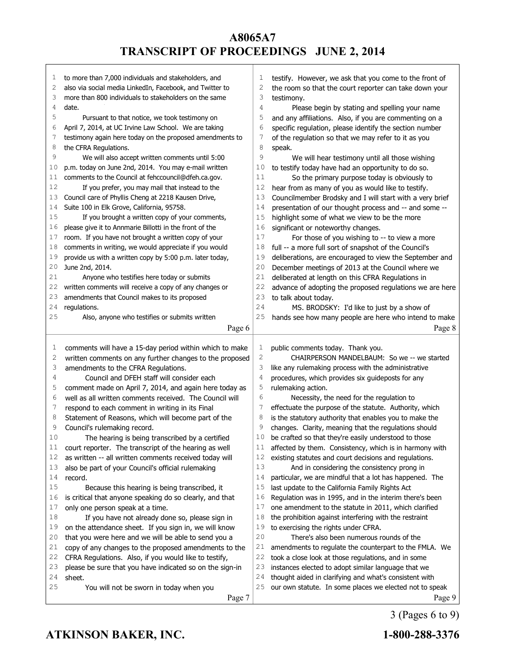| 1  | to more than 7,000 individuals and stakeholders, and               | 1            | testify. However, we ask that you come to the front of            |
|----|--------------------------------------------------------------------|--------------|-------------------------------------------------------------------|
| 2  | also via social media LinkedIn, Facebook, and Twitter to           | 2            | the room so that the court reporter can take down your            |
| 3  | more than 800 individuals to stakeholders on the same              | 3            | testimony.                                                        |
| 4  | date.                                                              | 4            | Please begin by stating and spelling your name                    |
| 5  | Pursuant to that notice, we took testimony on                      | 5            | and any affiliations. Also, if you are commenting on a            |
| 6  | April 7, 2014, at UC Irvine Law School. We are taking              | 6            | specific regulation, please identify the section number           |
| 7  | testimony again here today on the proposed amendments to           | 7            | of the regulation so that we may refer to it as you               |
| 8  | the CFRA Regulations.                                              | 8            | speak.                                                            |
| 9  | We will also accept written comments until 5:00                    | 9            | We will hear testimony until all those wishing                    |
| 10 | p.m. today on June 2nd, 2014. You may e-mail written               | 10           | to testify today have had an opportunity to do so.                |
| 11 | comments to the Council at fehccouncil@dfeh.ca.gov.                | 11           | So the primary purpose today is obviously to                      |
| 12 | If you prefer, you may mail that instead to the                    | 12           | hear from as many of you as would like to testify.                |
| 13 | Council care of Phyllis Cheng at 2218 Kausen Drive,                | 13           | Councilmember Brodsky and I will start with a very brief          |
| 14 | Suite 100 in Elk Grove, California, 95758.                         | 14           | presentation of our thought process and -- and some --            |
| 15 | If you brought a written copy of your comments,                    | 15           | highlight some of what we view to be the more                     |
| 16 | please give it to Annmarie Billotti in the front of the            | 16           | significant or noteworthy changes.                                |
| 17 | room. If you have not brought a written copy of your               | 17           | For those of you wishing to -- to view a more                     |
| 18 | comments in writing, we would appreciate if you would              | 18           | full -- a more full sort of snapshot of the Council's             |
| 19 | provide us with a written copy by 5:00 p.m. later today,           | 19           | deliberations, are encouraged to view the September and           |
| 20 | June 2nd, 2014.                                                    | 20           | December meetings of 2013 at the Council where we                 |
| 21 | Anyone who testifies here today or submits                         | 21           | deliberated at length on this CFRA Regulations in                 |
| 22 | written comments will receive a copy of any changes or             | 22           | advance of adopting the proposed regulations we are here          |
| 23 | amendments that Council makes to its proposed                      | 23           | to talk about today.                                              |
| 24 | regulations.                                                       | 24           |                                                                   |
| 25 |                                                                    | 25           | MS. BRODSKY: I'd like to just by a show of                        |
|    | Also, anyone who testifies or submits written                      |              | hands see how many people are here who intend to make             |
|    | Page 6                                                             |              | Page 8                                                            |
|    |                                                                    |              |                                                                   |
|    |                                                                    |              |                                                                   |
| 1  | comments will have a 15-day period within which to make            | $\mathbf{1}$ | public comments today. Thank you.                                 |
| 2  | written comments on any further changes to the proposed            | $\mathbf{2}$ | CHAIRPERSON MANDELBAUM: So we -- we started                       |
| 3  | amendments to the CFRA Regulations.                                | 3            | like any rulemaking process with the administrative               |
| 4  | Council and DFEH staff will consider each                          | 4            | procedures, which provides six guideposts for any                 |
| 5  | comment made on April 7, 2014, and again here today as             | 5            | rulemaking action.                                                |
| 6  | well as all written comments received. The Council will            | 6            | Necessity, the need for the regulation to                         |
| 7  | respond to each comment in writing in its Final                    | 7            | effectuate the purpose of the statute. Authority, which           |
| 8  | Statement of Reasons, which will become part of the                | 8            | is the statutory authority that enables you to make the           |
| 9  | Council's rulemaking record.                                       | 9            | changes. Clarity, meaning that the regulations should             |
| 10 | The hearing is being transcribed by a certified                    | 10           | be crafted so that they're easily understood to those             |
| 11 | court reporter. The transcript of the hearing as well              | 11           | affected by them. Consistency, which is in harmony with           |
| 12 | as written -- all written comments received today will             | 12           | existing statutes and court decisions and regulations.            |
| 13 | also be part of your Council's official rulemaking                 | 13           | And in considering the consistency prong in                       |
| 14 | record.                                                            | 14           | particular, we are mindful that a lot has happened. The           |
| 15 | Because this hearing is being transcribed, it                      | 15           | last update to the California Family Rights Act                   |
| 16 | is critical that anyone speaking do so clearly, and that           | 16           | Regulation was in 1995, and in the interim there's been           |
| 17 | only one person speak at a time.                                   | 17           | one amendment to the statute in 2011, which clarified             |
| 18 | If you have not already done so, please sign in                    | 18           | the prohibition against interfering with the restraint            |
| 19 | on the attendance sheet. If you sign in, we will know              | 19           | to exercising the rights under CFRA.                              |
| 20 | that you were here and we will be able to send you a               | 20           | There's also been numerous rounds of the                          |
| 21 | copy of any changes to the proposed amendments to the              | 21           | amendments to regulate the counterpart to the FMLA. We            |
| 22 | CFRA Regulations. Also, if you would like to testify,              | 22           | took a close look at those regulations, and in some               |
| 23 |                                                                    | 23           |                                                                   |
| 24 | please be sure that you have indicated so on the sign-in<br>sheet. | 24           | instances elected to adopt similar language that we               |
| 25 |                                                                    | 25           | thought aided in clarifying and what's consistent with            |
|    | You will not be sworn in today when you<br>Page 7                  |              | our own statute. In some places we elected not to speak<br>Page 9 |

3 (Pages 6 to 9)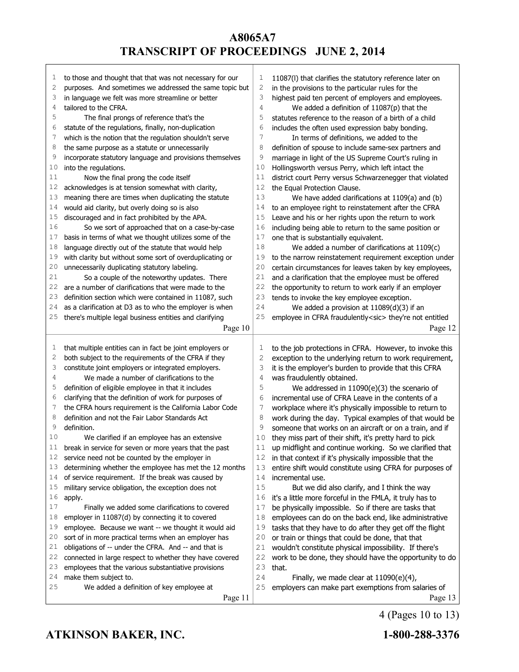| ı  | to those and thought that that was not necessary for our | 1  | 11087(I) that clarifies the statutory reference later on       |
|----|----------------------------------------------------------|----|----------------------------------------------------------------|
| 2  | purposes. And sometimes we addressed the same topic but  | 2  | in the provisions to the particular rules for the              |
| 3  | in language we felt was more streamline or better        | 3  | highest paid ten percent of employers and employees.           |
| 4  | tailored to the CFRA.                                    | 4  | We added a definition of $11087(p)$ that the                   |
| 5  | The final prongs of reference that's the                 | 5  | statutes reference to the reason of a birth of a child         |
| 6  | statute of the regulations, finally, non-duplication     | 6  | includes the often used expression baby bonding.               |
| 7  | which is the notion that the regulation shouldn't serve  | 7  | In terms of definitions, we added to the                       |
| 8  | the same purpose as a statute or unnecessarily           | 8  | definition of spouse to include same-sex partners and          |
| 9  | incorporate statutory language and provisions themselves | 9  | marriage in light of the US Supreme Court's ruling in          |
| 10 | into the regulations.                                    | 10 | Hollingsworth versus Perry, which left intact the              |
| 11 | Now the final prong the code itself                      | 11 | district court Perry versus Schwarzenegger that violated       |
| 12 | acknowledges is at tension somewhat with clarity,        | 12 | the Equal Protection Clause.                                   |
| 13 | meaning there are times when duplicating the statute     | 13 | We have added clarifications at 1109(a) and (b)                |
| 14 | would aid clarity, but overly doing so is also           | 14 | to an employee right to reinstatement after the CFRA           |
| 15 | discouraged and in fact prohibited by the APA.           | 15 | Leave and his or her rights upon the return to work            |
| 16 | So we sort of approached that on a case-by-case          | 16 | including being able to return to the same position or         |
| 17 | basis in terms of what we thought utilizes some of the   | 17 | one that is substantially equivalent.                          |
| 18 | language directly out of the statute that would help     | 18 | We added a number of clarifications at 1109(c)                 |
| 19 | with clarity but without some sort of overduplicating or | 19 | to the narrow reinstatement requirement exception under        |
| 20 | unnecessarily duplicating statutory labeling.            | 20 | certain circumstances for leaves taken by key employees,       |
| 21 | So a couple of the noteworthy updates. There             | 21 | and a clarification that the employee must be offered          |
| 22 | are a number of clarifications that were made to the     | 22 | the opportunity to return to work early if an employer         |
| 23 | definition section which were contained in 11087, such   | 23 | tends to invoke the key employee exception.                    |
| 24 | as a clarification at D3 as to who the employer is when  | 24 | We added a provision at $11089(d)(3)$ if an                    |
| 25 | there's multiple legal business entities and clarifying  | 25 | employee in CFRA fraudulently <sic> they're not entitled</sic> |
|    | Page 10                                                  |    | Page 12                                                        |
|    |                                                          |    |                                                                |
| I, | that multiple entities can in fact be joint employers or | 1  | to the job protections in CFRA. However, to invoke this        |
|    |                                                          |    |                                                                |
|    |                                                          |    |                                                                |
| 2  | both subject to the requirements of the CFRA if they     | 2  | exception to the underlying return to work requirement,        |
| 3  | constitute joint employers or integrated employers.      | 3  | it is the employer's burden to provide that this CFRA          |
| 4  | We made a number of clarifications to the                | 4  | was fraudulently obtained.                                     |
| 5  | definition of eligible employee in that it includes      | 5  | We addressed in 11090(e)(3) the scenario of                    |
| 6  | clarifying that the definition of work for purposes of   | 6  | incremental use of CFRA Leave in the contents of a             |
| 7  | the CFRA hours requirement is the California Labor Code  | 7  | workplace where it's physically impossible to return to        |
| 8  | definition and not the Fair Labor Standards Act          | 8  | work during the day. Typical examples of that would be         |
| 9  | definition.                                              | 9  | someone that works on an aircraft or on a train, and if        |
| 10 | We clarified if an employee has an extensive             | 10 | they miss part of their shift, it's pretty hard to pick        |
| 11 | break in service for seven or more years that the past   | 11 | up midflight and continue working. So we clarified that        |
| 12 | service need not be counted by the employer in           | 12 | in that context if it's physically impossible that the         |
| 13 | determining whether the employee has met the 12 months   | 13 | entire shift would constitute using CFRA for purposes of       |
| 14 | of service requirement. If the break was caused by       | 14 | incremental use.                                               |
| 15 | military service obligation, the exception does not      | 15 | But we did also clarify, and I think the way                   |
| 16 | apply.                                                   | 16 | it's a little more forceful in the FMLA, it truly has to       |
| 17 | Finally we added some clarifications to covered          | 17 | be physically impossible. So if there are tasks that           |
| 18 | employer in 11087(d) by connecting it to covered         | 18 | employees can do on the back end, like administrative          |
| 19 | employee. Because we want -- we thought it would aid     | 19 | tasks that they have to do after they get off the flight       |
| 20 | sort of in more practical terms when an employer has     | 20 | or train or things that could be done, that that               |
| 21 | obligations of -- under the CFRA. And -- and that is     | 21 | wouldn't constitute physical impossibility. If there's         |
| 22 | connected in large respect to whether they have covered  | 22 | work to be done, they should have the opportunity to do        |
| 23 | employees that the various substantiative provisions     | 23 | that.                                                          |
| 24 | make them subject to.                                    | 24 | Finally, we made clear at $11090(e)(4)$ ,                      |
| 25 | We added a definition of key employee at<br>Page 11      | 25 | employers can make part exemptions from salaries of<br>Page 13 |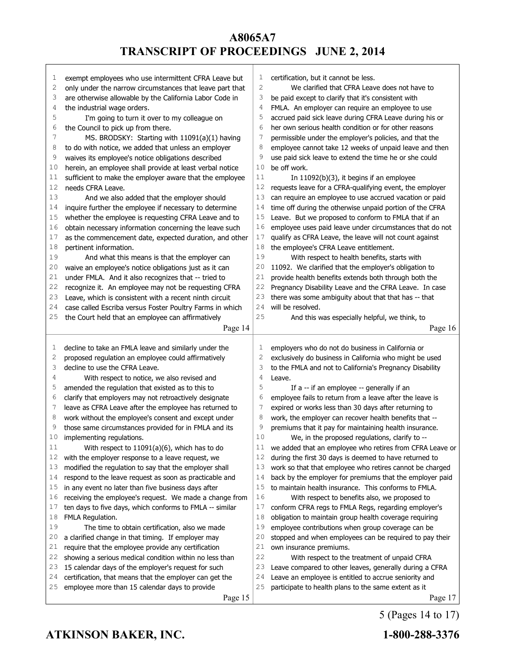| 1        | exempt employees who use intermittent CFRA Leave but     | T            | certification, but it cannot be less.                    |
|----------|----------------------------------------------------------|--------------|----------------------------------------------------------|
| 2        | only under the narrow circumstances that leave part that | $\mathbf{2}$ | We clarified that CFRA Leave does not have to            |
| 3        | are otherwise allowable by the California Labor Code in  | 3            | be paid except to clarify that it's consistent with      |
| 4        | the industrial wage orders.                              | 4            | FMLA. An employer can require an employee to use         |
| 5        | I'm going to turn it over to my colleague on             | 5            | accrued paid sick leave during CFRA Leave during his or  |
| 6        | the Council to pick up from there.                       | 6            | her own serious health condition or for other reasons    |
| 7        | MS. BRODSKY: Starting with 11091(a)(1) having            | 7            | permissible under the employer's policies, and that the  |
| 8        | to do with notice, we added that unless an employer      | 8            | employee cannot take 12 weeks of unpaid leave and then   |
| 9        | waives its employee's notice obligations described       | 9            | use paid sick leave to extend the time he or she could   |
| 10       | herein, an employee shall provide at least verbal notice | 10           | be off work.                                             |
| 11       | sufficient to make the employer aware that the employee  | 11           | In $11092(b)(3)$ , it begins if an employee              |
| 12       | needs CFRA Leave.                                        | 12           | requests leave for a CFRA-qualifying event, the employer |
| 13       | And we also added that the employer should               | 13           | can require an employee to use accrued vacation or paid  |
| 14       | inquire further the employee if necessary to determine   | 14           | time off during the otherwise unpaid portion of the CFRA |
| 15       | whether the employee is requesting CFRA Leave and to     | 15           | Leave. But we proposed to conform to FMLA that if an     |
| 16       | obtain necessary information concerning the leave such   | 16           | employee uses paid leave under circumstances that do not |
|          |                                                          | 17           |                                                          |
| 17       | as the commencement date, expected duration, and other   |              | qualify as CFRA Leave, the leave will not count against  |
| 18       | pertinent information.                                   | 18           | the employee's CFRA Leave entitlement.                   |
| 19       | And what this means is that the employer can             | 19           | With respect to health benefits, starts with             |
| 20       | waive an employee's notice obligations just as it can    | 20           | 11092. We clarified that the employer's obligation to    |
| 21       | under FMLA. And it also recognizes that -- tried to      | 21           | provide health benefits extends both through both the    |
| 22       | recognize it. An employee may not be requesting CFRA     | 22           | Pregnancy Disability Leave and the CFRA Leave. In case   |
| 23       | Leave, which is consistent with a recent ninth circuit   | 23           | there was some ambiguity about that that has -- that     |
| 24       | case called Escriba versus Foster Poultry Farms in which | 24           | will be resolved.                                        |
| 25       | the Court held that an employee can affirmatively        | 25           | And this was especially helpful, we think, to            |
|          | Page 14                                                  |              | Page 16                                                  |
|          |                                                          |              |                                                          |
|          |                                                          |              |                                                          |
| 1        | decline to take an FMLA leave and similarly under the    | 1            | employers who do not do business in California or        |
| 2        | proposed regulation an employee could affirmatively      | 2            | exclusively do business in California who might be used  |
| 3        | decline to use the CFRA Leave.                           | 3            | to the FMLA and not to California's Pregnancy Disability |
| 4        | With respect to notice, we also revised and              | 4            | Leave.                                                   |
| 5        | amended the regulation that existed as to this to        | 5            | If a -- if an employee -- generally if an                |
| 6        |                                                          | 6            | employee fails to return from a leave after the leave is |
| 7        | clarify that employers may not retroactively designate   | 7            |                                                          |
| 8        | leave as CFRA Leave after the employee has returned to   | 8            | expired or works less than 30 days after returning to    |
| 9        | work without the employee's consent and except under     | 9            | work, the employer can recover health benefits that --   |
|          | those same circumstances provided for in FMLA and its    | 10           | premiums that it pay for maintaining health insurance.   |
| 10<br>11 | implementing regulations.                                | 11           | We, in the proposed regulations, clarify to --           |
|          | With respect to 11091(a)(6), which has to do             |              | we added that an employee who retires from CFRA Leave or |
| 12       | with the employer response to a leave request, we        | 12           | during the first 30 days is deemed to have returned to   |
| 13       | modified the regulation to say that the employer shall   | 13           | work so that that employee who retires cannot be charged |
| 14       | respond to the leave request as soon as practicable and  | 14           | back by the employer for premiums that the employer paid |
| 15       | in any event no later than five business days after      | 15           | to maintain health insurance. This conforms to FMLA.     |
| 16       | receiving the employee's request. We made a change from  | 16           | With respect to benefits also, we proposed to            |
| 17       | ten days to five days, which conforms to FMLA -- similar | 17           | conform CFRA regs to FMLA Regs, regarding employer's     |
| 18       | FMLA Regulation.                                         | 18           | obligation to maintain group health coverage requiring   |
| 19       | The time to obtain certification, also we made           | 19           | employee contributions when group coverage can be        |
| 20       | a clarified change in that timing. If employer may       | 20           | stopped and when employees can be required to pay their  |
| 21       | require that the employee provide any certification      | 21           | own insurance premiums.                                  |
| 22       | showing a serious medical condition within no less than  | 22           | With respect to the treatment of unpaid CFRA             |
| 23       | 15 calendar days of the employer's request for such      | 23           | Leave compared to other leaves, generally during a CFRA  |
| 24       | certification, that means that the employer can get the  | 24           | Leave an employee is entitled to accrue seniority and    |
| 25       | employee more than 15 calendar days to provide           | 25           | participate to health plans to the same extent as it     |

5 (Pages 14 to 17)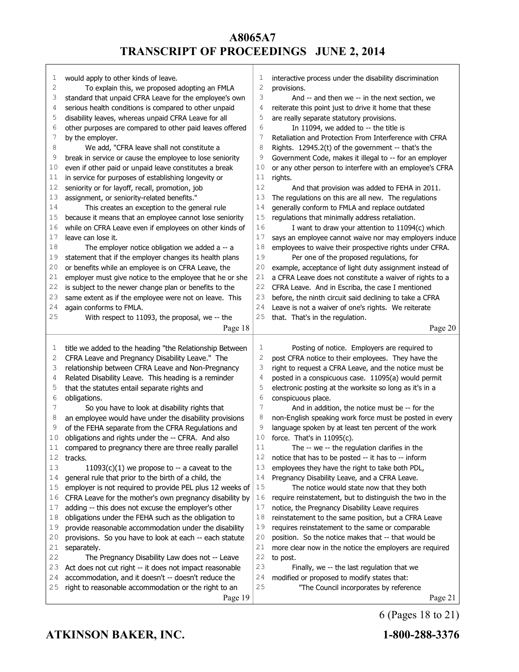| 1      | would apply to other kinds of leave.                                                                             | 1      | interactive process under the disability discrimination                                                       |
|--------|------------------------------------------------------------------------------------------------------------------|--------|---------------------------------------------------------------------------------------------------------------|
| 2      | To explain this, we proposed adopting an FMLA                                                                    | 2      | provisions.                                                                                                   |
| 3      | standard that unpaid CFRA Leave for the employee's own                                                           | 3      | And -- and then we -- in the next section, we                                                                 |
| 4<br>5 | serious health conditions is compared to other unpaid                                                            | 4<br>5 | reiterate this point just to drive it home that these                                                         |
| 6      | disability leaves, whereas unpaid CFRA Leave for all<br>other purposes are compared to other paid leaves offered | 6      | are really separate statutory provisions.                                                                     |
| 7      |                                                                                                                  | 7      | In 11094, we added to -- the title is<br>Retaliation and Protection From Interference with CFRA               |
| 8      | by the employer.                                                                                                 | 8      |                                                                                                               |
| 9      | We add, "CFRA leave shall not constitute a<br>break in service or cause the employee to lose seniority           | 9      | Rights. 12945.2(t) of the government -- that's the<br>Government Code, makes it illegal to -- for an employer |
| 10     | even if other paid or unpaid leave constitutes a break                                                           | 10     | or any other person to interfere with an employee's CFRA                                                      |
| 11     | in service for purposes of establishing longevity or                                                             | 11     | rights.                                                                                                       |
| 12     | seniority or for layoff, recall, promotion, job                                                                  | 12     | And that provision was added to FEHA in 2011.                                                                 |
| 13     | assignment, or seniority-related benefits."                                                                      | 13     | The regulations on this are all new. The regulations                                                          |
| 14     | This creates an exception to the general rule                                                                    | 14     | generally conform to FMLA and replace outdated                                                                |
| 15     | because it means that an employee cannot lose seniority                                                          | 15     | regulations that minimally address retaliation.                                                               |
| 16     | while on CFRA Leave even if employees on other kinds of                                                          | 16     | I want to draw your attention to 11094(c) which                                                               |
| 17     | leave can lose it.                                                                                               | 17     | says an employee cannot waive nor may employers induce                                                        |
| 18     | The employer notice obligation we added a -- a                                                                   | 18     | employees to waive their prospective rights under CFRA.                                                       |
| 19     | statement that if the employer changes its health plans                                                          | 19     | Per one of the proposed regulations, for                                                                      |
| 20     | or benefits while an employee is on CFRA Leave, the                                                              | 20     | example, acceptance of light duty assignment instead of                                                       |
| 21     | employer must give notice to the employee that he or she                                                         | 21     | a CFRA Leave does not constitute a waiver of rights to a                                                      |
| 22     | is subject to the newer change plan or benefits to the                                                           | 22     | CFRA Leave. And in Escriba, the case I mentioned                                                              |
| 23     | same extent as if the employee were not on leave. This                                                           | 23     | before, the ninth circuit said declining to take a CFRA                                                       |
| 24     | again conforms to FMLA.                                                                                          | 24     | Leave is not a waiver of one's rights. We reiterate                                                           |
| 25     | With respect to 11093, the proposal, we -- the                                                                   | 25     | that. That's in the regulation.                                                                               |
|        |                                                                                                                  |        | Page 20                                                                                                       |
|        | Page 18                                                                                                          |        |                                                                                                               |
| 1      | title we added to the heading "the Relationship Between                                                          | 1      | Posting of notice. Employers are required to                                                                  |
| 2      | CFRA Leave and Pregnancy Disability Leave." The                                                                  | 2      | post CFRA notice to their employees. They have the                                                            |
| 3      | relationship between CFRA Leave and Non-Pregnancy                                                                | 3      | right to request a CFRA Leave, and the notice must be                                                         |
| 4      | Related Disability Leave. This heading is a reminder                                                             | 4      | posted in a conspicuous case. 11095(a) would permit                                                           |
| 5      | that the statutes entail separate rights and                                                                     | 5      | electronic posting at the worksite so long as it's in a                                                       |
| 6      | obligations.                                                                                                     | 6      | conspicuous place.                                                                                            |
| 7      | So you have to look at disability rights that                                                                    | 7      | And in addition, the notice must be -- for the                                                                |
| 8      | an employee would have under the disability provisions                                                           | 8      | non-English speaking work force must be posted in every                                                       |
| 9      | of the FEHA separate from the CFRA Regulations and                                                               | 9      | language spoken by at least ten percent of the work                                                           |
| 10     | obligations and rights under the -- CFRA. And also                                                               | 10     | force. That's in 11095(c).                                                                                    |
| 11     | compared to pregnancy there are three really parallel                                                            | 11     | The -- we -- the regulation clarifies in the                                                                  |
| 12     | tracks.                                                                                                          | 12     | notice that has to be posted -- it has to -- inform                                                           |
| 13     | $11093(c)(1)$ we propose to -- a caveat to the                                                                   | 13     | employees they have the right to take both PDL,                                                               |
| 14     | general rule that prior to the birth of a child, the                                                             | 14     | Pregnancy Disability Leave, and a CFRA Leave.                                                                 |
| 15     | employer is not required to provide PEL plus 12 weeks of                                                         | 15     | The notice would state now that they both                                                                     |
| 16     | CFRA Leave for the mother's own pregnancy disability by                                                          | 16     | require reinstatement, but to distinguish the two in the                                                      |
| 17     | adding -- this does not excuse the employer's other                                                              | 17     | notice, the Pregnancy Disability Leave requires                                                               |
| 18     | obligations under the FEHA such as the obligation to                                                             | 18     | reinstatement to the same position, but a CFRA Leave                                                          |
| 19     | provide reasonable accommodation under the disability                                                            | 19     | requires reinstatement to the same or comparable                                                              |
| 20     | provisions. So you have to look at each -- each statute                                                          | 20     | position. So the notice makes that -- that would be                                                           |
| 21     | separately.                                                                                                      | 21     | more clear now in the notice the employers are required                                                       |
| 22     |                                                                                                                  | 22     | to post.                                                                                                      |
| 23     |                                                                                                                  |        |                                                                                                               |
|        | The Pregnancy Disability Law does not -- Leave                                                                   | 23     |                                                                                                               |
| 24     | Act does not cut right -- it does not impact reasonable                                                          | 24     | Finally, we -- the last regulation that we                                                                    |
| 25     | accommodation, and it doesn't -- doesn't reduce the<br>right to reasonable accommodation or the right to an      | 25     | modified or proposed to modify states that:<br>"The Council incorporates by reference                         |

6 (Pages 18 to 21)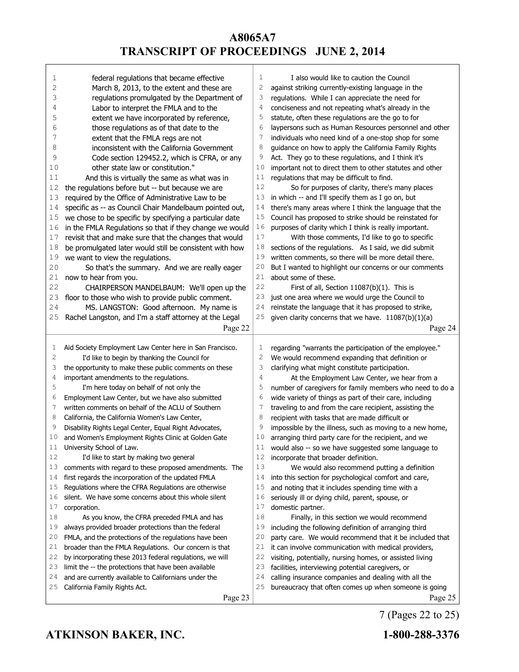| 1  | federal regulations that became effective                | 1  | I also would like to caution the Council                 |
|----|----------------------------------------------------------|----|----------------------------------------------------------|
| 2  | March 8, 2013, to the extent and these are               | 2  | against striking currently-existing language in the      |
| 3  | regulations promulgated by the Department of             | 3  | regulations. While I can appreciate the need for         |
| 4  | Labor to interpret the FMLA and to the                   | 4  | conciseness and not repeating what's already in the      |
| 5  | extent we have incorporated by reference,                | 5  | statute, often these regulations are the go to for       |
| 6  | those regulations as of that date to the                 | 6  | laypersons such as Human Resources personnel and other   |
| 7  | extent that the FMLA regs are not                        | 7  | individuals who need kind of a one-stop shop for some    |
| 8  | inconsistent with the California Government              | 8  | guidance on how to apply the California Family Rights    |
| 9  | Code section 129452.2, which is CFRA, or any             | 9  | Act. They go to these regulations, and I think it's      |
| 10 | other state law or constitution."                        | 10 | important not to direct them to other statutes and other |
| 11 | And this is virtually the same as what was in            | 11 | regulations that may be difficult to find.               |
| 12 | the regulations before but -- but because we are         | 12 | So for purposes of clarity, there's many places          |
| 13 | required by the Office of Administrative Law to be       | 13 | in which -- and I'll specify them as I go on, but        |
| 14 | specific as -- as Council Chair Mandelbaum pointed out,  | 14 | there's many areas where I think the language that the   |
| 15 | we chose to be specific by specifying a particular date  | 15 | Council has proposed to strike should be reinstated for  |
| 16 | in the FMLA Regulations so that if they change we would  | 16 | purposes of clarity which I think is really important.   |
| 17 | revisit that and make sure that the changes that would   | 17 | With those comments, I'd like to go to specific          |
| 18 | be promulgated later would still be consistent with how  | 18 | sections of the regulations. As I said, we did submit    |
| 19 | we want to view the regulations.                         | 19 | written comments, so there will be more detail there.    |
| 20 | So that's the summary. And we are really eager           | 20 | But I wanted to highlight our concerns or our comments   |
| 21 | now to hear from you.                                    | 21 | about some of these.                                     |
| 22 | CHAIRPERSON MANDELBAUM: We'll open up the                | 22 | First of all, Section 11087(b)(1). This is               |
| 23 | floor to those who wish to provide public comment.       | 23 | just one area where we would urge the Council to         |
| 24 | MS. LANGSTON: Good afternoon. My name is                 | 24 | reinstate the language that it has proposed to strike,   |
| 25 | Rachel Langston, and I'm a staff attorney at the Legal   | 25 | given clarity concerns that we have. 11087(b)(1)(a)      |
|    | Page 22                                                  |    | Page 24                                                  |
|    |                                                          |    |                                                          |
|    |                                                          |    |                                                          |
|    |                                                          |    |                                                          |
| 1  | Aid Society Employment Law Center here in San Francisco. | 1  | regarding "warrants the participation of the employee."  |
| 2  | I'd like to begin by thanking the Council for            | 2  | We would recommend expanding that definition or          |
| 3  | the opportunity to make these public comments on these   | 3  | clarifying what might constitute participation.          |
| 4  | important amendments to the regulations.                 | 4  | At the Employment Law Center, we hear from a             |
| 5  | I'm here today on behalf of not only the                 | 5  | number of caregivers for family members who need to do a |
| 6  | Employment Law Center, but we have also submitted        | 6  | wide variety of things as part of their care, including  |
| 7  | written comments on behalf of the ACLU of Southern       | 7  | traveling to and from the care recipient, assisting the  |
| 8  | California, the California Women's Law Center,           | 8  | recipient with tasks that are made difficult or          |
| 9  | Disability Rights Legal Center, Equal Right Advocates,   | 9  | impossible by the illness, such as moving to a new home, |
| 10 | and Women's Employment Rights Clinic at Golden Gate      | 10 | arranging third party care for the recipient, and we     |
| 11 | University School of Law.                                | 11 | would also -- so we have suggested some language to      |
| 12 | I'd like to start by making two general                  | 12 | incorporate that broader definition.                     |
| 13 | comments with regard to these proposed amendments. The   | 13 | We would also recommend putting a definition             |
| 14 | first regards the incorporation of the updated FMLA      | 14 | into this section for psychological comfort and care,    |
| 15 | Regulations where the CFRA Regulations are otherwise     | 15 | and noting that it includes spending time with a         |
| 16 | silent. We have some concerns about this whole silent    | 16 | seriously ill or dying child, parent, spouse, or         |
| 17 | corporation.                                             | 17 | domestic partner.                                        |
| 18 | As you know, the CFRA preceded FMLA and has              | 18 | Finally, in this section we would recommend              |
| 19 | always provided broader protections than the federal     | 19 | including the following definition of arranging third    |
| 20 | FMLA, and the protections of the regulations have been   | 20 | party care. We would recommend that it be included that  |
| 21 | broader than the FMLA Regulations. Our concern is that   | 21 | it can involve communication with medical providers,     |
| 22 | by incorporating these 2013 federal regulations, we will | 22 | visiting, potentially, nursing homes, or assisted living |
| 23 | limit the -- the protections that have been available    | 23 | facilities, interviewing potential caregivers, or        |
| 24 | and are currently available to Californians under the    | 24 | calling insurance companies and dealing with all the     |
| 25 | California Family Rights Act.                            | 25 | bureaucracy that often comes up when someone is going    |

7 (Pages 22 to 25)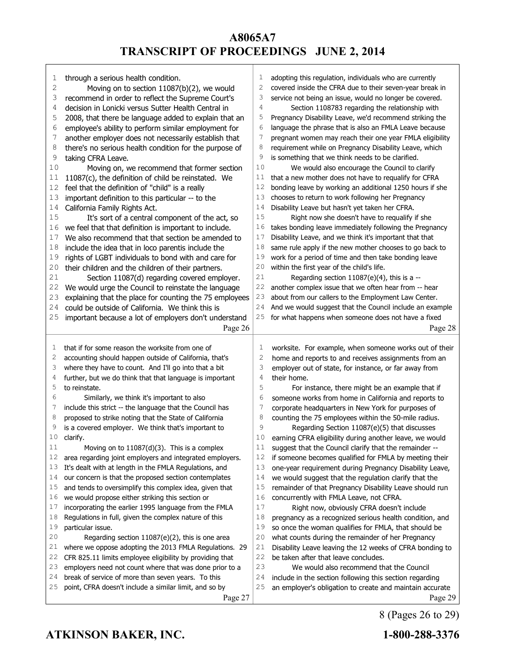| 1  | through a serious health condition.                                                                         | 1              | adopting this regulation, individuals who are currently  |
|----|-------------------------------------------------------------------------------------------------------------|----------------|----------------------------------------------------------|
| 2  | Moving on to section 11087(b)(2), we would                                                                  | 2              | covered inside the CFRA due to their seven-year break in |
| 3  | recommend in order to reflect the Supreme Court's                                                           | 3              | service not being an issue, would no longer be covered.  |
| 4  | decision in Lonicki versus Sutter Health Central in                                                         | 4              | Section 1108783 regarding the relationship with          |
| 5  | 2008, that there be language added to explain that an                                                       | 5              | Pregnancy Disability Leave, we'd recommend striking the  |
| 6  | employee's ability to perform similar employment for                                                        | 6              | language the phrase that is also an FMLA Leave because   |
| 7  | another employer does not necessarily establish that                                                        | 7              | pregnant women may reach their one year FMLA eligibility |
| 8  | there's no serious health condition for the purpose of                                                      | 8              | requirement while on Pregnancy Disability Leave, which   |
| 9  | taking CFRA Leave.                                                                                          | 9              | is something that we think needs to be clarified.        |
| 10 | Moving on, we recommend that former section                                                                 | 10             | We would also encourage the Council to clarify           |
| 11 | 11087(c), the definition of child be reinstated. We                                                         | 11             | that a new mother does not have to requalify for CFRA    |
| 12 | feel that the definition of "child" is a really                                                             | 12             | bonding leave by working an additional 1250 hours if she |
| 13 | important definition to this particular -- to the                                                           | 13             | chooses to return to work following her Pregnancy        |
| 14 | California Family Rights Act.                                                                               | 14             | Disability Leave but hasn't yet taken her CFRA.          |
| 15 | It's sort of a central component of the act, so                                                             | 15             | Right now she doesn't have to requalify if she           |
| 16 | we feel that that definition is important to include.                                                       | 16             | takes bonding leave immediately following the Pregnancy  |
| 17 | We also recommend that that section be amended to                                                           | 17             | Disability Leave, and we think it's important that that  |
| 18 | include the idea that in loco parentis include the                                                          | 18             | same rule apply if the new mother chooses to go back to  |
| 19 | rights of LGBT individuals to bond with and care for                                                        | 19             | work for a period of time and then take bonding leave    |
| 20 | their children and the children of their partners.                                                          | 20             | within the first year of the child's life.               |
| 21 | Section 11087(d) regarding covered employer.                                                                | 21             | Regarding section $11087(e)(4)$ , this is a --           |
| 22 | We would urge the Council to reinstate the language                                                         | 22             | another complex issue that we often hear from -- hear    |
| 23 |                                                                                                             | 23             | about from our callers to the Employment Law Center.     |
| 24 | explaining that the place for counting the 75 employees<br>could be outside of California. We think this is | 24             |                                                          |
|    |                                                                                                             |                | And we would suggest that the Council include an example |
| 25 | important because a lot of employers don't understand                                                       | 25             | for what happens when someone does not have a fixed      |
|    | Page 26                                                                                                     |                | Page 28                                                  |
|    |                                                                                                             |                |                                                          |
|    |                                                                                                             |                |                                                          |
| 1  | that if for some reason the worksite from one of                                                            | 1              | worksite. For example, when someone works out of their   |
| 2  | accounting should happen outside of California, that's                                                      | $\overline{c}$ | home and reports to and receives assignments from an     |
| 3  | where they have to count. And I'll go into that a bit                                                       | 3              | employer out of state, for instance, or far away from    |
| 4  | further, but we do think that that language is important                                                    | 4              | their home.                                              |
| 5  | to reinstate.                                                                                               | 5              | For instance, there might be an example that if          |
| 6  | Similarly, we think it's important to also                                                                  | 6              | someone works from home in California and reports to     |
| 7  | include this strict -- the language that the Council has                                                    | 7              | corporate headquarters in New York for purposes of       |
| 8  | proposed to strike noting that the State of California                                                      | 8              | counting the 75 employees within the 50-mile radius.     |
| 9  | is a covered employer. We think that's important to                                                         | 9              | Regarding Section 11087(e)(5) that discusses             |
| 10 | clarify.                                                                                                    | 10             | earning CFRA eligibility during another leave, we would  |
| 11 | Moving on to 11087(d)(3). This is a complex                                                                 | $11\,$         | suggest that the Council clarify that the remainder      |
| 12 | area regarding joint employers and integrated employers.                                                    | 12             | if someone becomes qualified for FMLA by meeting their   |
| 13 | It's dealt with at length in the FMLA Regulations, and                                                      | 13             | one-year requirement during Pregnancy Disability Leave,  |
| 14 | our concern is that the proposed section contemplates                                                       | 14             | we would suggest that the regulation clarify that the    |
| 15 | and tends to oversimplify this complex idea, given that                                                     | 15             | remainder of that Pregnancy Disability Leave should run  |
| 16 | we would propose either striking this section or                                                            | 16             | concurrently with FMLA Leave, not CFRA.                  |
| 17 | incorporating the earlier 1995 language from the FMLA                                                       | 17             | Right now, obviously CFRA doesn't include                |
| 18 | Regulations in full, given the complex nature of this                                                       | 18             | pregnancy as a recognized serious health condition, and  |
| 19 | particular issue.                                                                                           | 19             | so once the woman qualifies for FMLA, that should be     |
| 20 | Regarding section $11087(e)(2)$ , this is one area                                                          | 20             | what counts during the remainder of her Pregnancy        |
| 21 | where we oppose adopting the 2013 FMLA Regulations. 29                                                      | 21             | Disability Leave leaving the 12 weeks of CFRA bonding to |
| 22 | CFR 825.11 limits employee eligibility by providing that                                                    | 22             | be taken after that leave concludes.                     |
| 23 | employers need not count where that was done prior to a                                                     | 23             | We would also recommend that the Council                 |
| 24 | break of service of more than seven years. To this                                                          | 24             | include in the section following this section regarding  |
| 25 | point, CFRA doesn't include a similar limit, and so by                                                      | 25             | an employer's obligation to create and maintain accurate |

8 (Pages 26 to 29)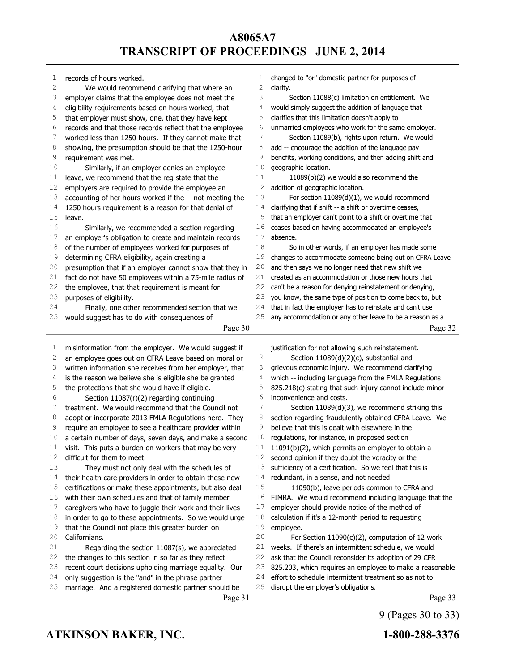| 1            | records of hours worked.                                 | 1            | changed to "or" domestic partner for purposes of         |
|--------------|----------------------------------------------------------|--------------|----------------------------------------------------------|
| $\mathbf{2}$ | We would recommend clarifying that where an              | 2            | clarity.                                                 |
| 3            | employer claims that the employee does not meet the      | 3            | Section 11088(c) limitation on entitlement. We           |
| 4            | eligibility requirements based on hours worked, that     | 4            | would simply suggest the addition of language that       |
| 5            | that employer must show, one, that they have kept        | 5            | clarifies that this limitation doesn't apply to          |
| 6            | records and that those records reflect that the employee | 6            | unmarried employees who work for the same employer.      |
| 7            | worked less than 1250 hours. If they cannot make that    | 7            | Section 11089(b), rights upon return. We would           |
| 8            | showing, the presumption should be that the 1250-hour    | 8            | add -- encourage the addition of the language pay        |
| 9            | requirement was met.                                     | 9            | benefits, working conditions, and then adding shift and  |
| 10           | Similarly, if an employer denies an employee             | 10           | geographic location.                                     |
| 11           | leave, we recommend that the reg state that the          | 11           | 11089(b)(2) we would also recommend the                  |
| 12           | employers are required to provide the employee an        | 12           | addition of geographic location.                         |
| 13           | accounting of her hours worked if the -- not meeting the | 13           | For section $11089(d)(1)$ , we would recommend           |
| 14           | 1250 hours requirement is a reason for that denial of    | 14           | clarifying that if shift -- a shift or overtime ceases,  |
| 15           | leave.                                                   | 15           | that an employer can't point to a shift or overtime that |
| 16           | Similarly, we recommended a section regarding            | 16           | ceases based on having accommodated an employee's        |
| 17           | an employer's obligation to create and maintain records  | 17           | absence.                                                 |
| 18           | of the number of employees worked for purposes of        | 18           | So in other words, if an employer has made some          |
| 19           | determining CFRA eligibility, again creating a           | 19           | changes to accommodate someone being out on CFRA Leave   |
| 20           | presumption that if an employer cannot show that they in | 20           | and then says we no longer need that new shift we        |
| 21           | fact do not have 50 employees within a 75-mile radius of | 21           | created as an accommodation or those new hours that      |
| 22           | the employee, that that requirement is meant for         | 22           | can't be a reason for denying reinstatement or denying,  |
| 23           | purposes of eligibility.                                 | 23           | you know, the same type of position to come back to, but |
| 24           | Finally, one other recommended section that we           | 24           | that in fact the employer has to reinstate and can't use |
| 25           |                                                          | 25           | any accommodation or any other leave to be a reason as a |
|              | would suggest has to do with consequences of             |              |                                                          |
|              |                                                          |              |                                                          |
|              | Page 30                                                  |              | Page 32                                                  |
|              |                                                          |              |                                                          |
| 1            | misinformation from the employer. We would suggest if    | 1            | justification for not allowing such reinstatement.       |
| 2            | an employee goes out on CFRA Leave based on moral or     | $\mathbf{2}$ | Section 11089(d)(2)(c), substantial and                  |
| 3            | written information she receives from her employer, that | 3            | grievous economic injury. We recommend clarifying        |
| 4            | is the reason we believe she is eligible she be granted  | 4            | which -- including language from the FMLA Regulations    |
| 5            | the protections that she would have if eligible.         | 5            | 825.218(c) stating that such injury cannot include minor |
| 6            | Section 11087(r)(2) regarding continuing                 | 6            | inconvenience and costs.                                 |
| 7            | treatment. We would recommend that the Council not       | 7            | Section 11089(d)(3), we recommend striking this          |
| 8            | adopt or incorporate 2013 FMLA Regulations here. They    | 8            | section regarding fraudulently-obtained CFRA Leave. We   |
| 9            | require an employee to see a healthcare provider within  | 9            | believe that this is dealt with elsewhere in the         |
| 10           | a certain number of days, seven days, and make a second  | 10           | regulations, for instance, in proposed section           |
| 11           | visit. This puts a burden on workers that may be very    | 11           | 11091(b)(2), which permits an employer to obtain a       |
| 12           | difficult for them to meet.                              | 12           | second opinion if they doubt the voracity or the         |
| 13           | They must not only deal with the schedules of            | 13           | sufficiency of a certification. So we feel that this is  |
| 14           | their health care providers in order to obtain these new | 14           | redundant, in a sense, and not needed.                   |
| 15           | certifications or make these appointments, but also deal | 15           | 11090(b), leave periods common to CFRA and               |
| 16           | with their own schedules and that of family member       | 16           | FIMRA. We would recommend including language that the    |
| 17           | caregivers who have to juggle their work and their lives | 17           | employer should provide notice of the method of          |
| 18           | in order to go to these appointments. So we would urge   | 18           | calculation if it's a 12-month period to requesting      |
| 19           | that the Council not place this greater burden on        | 19           | employee.                                                |
| 20           | Californians.                                            | 20           | For Section 11090(c)(2), computation of 12 work          |
| 21           | Regarding the section 11087(s), we appreciated           | 21           | weeks. If there's an intermittent schedule, we would     |
| 22           | the changes to this section in so far as they reflect    | 22           | ask that the Council reconsider its adoption of 29 CFR   |
| 23           | recent court decisions upholding marriage equality. Our  | 23           | 825.203, which requires an employee to make a reasonable |
| 24           | only suggestion is the "and" in the phrase partner       | 24           | effort to schedule intermittent treatment so as not to   |
| 25           | marriage. And a registered domestic partner should be    | 25           | disrupt the employer's obligations.                      |

9 (Pages 30 to 33)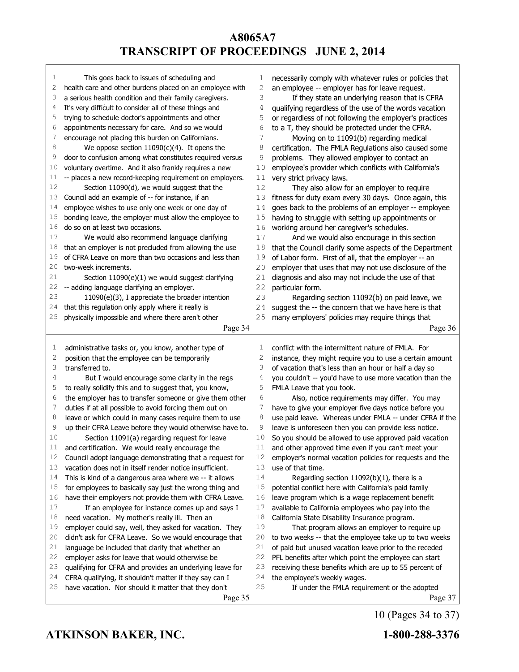| 1  | This goes back to issues of scheduling and                     | 1  | necessarily comply with whatever rules or policies that  |
|----|----------------------------------------------------------------|----|----------------------------------------------------------|
| 2  | health care and other burdens placed on an employee with       | 2  | an employee -- employer has for leave request.           |
| 3  | a serious health condition and their family caregivers.        | 3  | If they state an underlying reason that is CFRA          |
| 4  | It's very difficult to consider all of these things and        | 4  | qualifying regardless of the use of the words vacation   |
| 5  | trying to schedule doctor's appointments and other             | 5  | or regardless of not following the employer's practices  |
| 6  | appointments necessary for care. And so we would               | 6  | to a T, they should be protected under the CFRA.         |
| 7  | encourage not placing this burden on Californians.             | 7  | Moving on to 11091(b) regarding medical                  |
| 8  | We oppose section $11090(c)(4)$ . It opens the                 | 8  | certification. The FMLA Regulations also caused some     |
| 9  | door to confusion among what constitutes required versus       | 9  | problems. They allowed employer to contact an            |
| 10 | voluntary overtime. And it also frankly requires a new         | 10 | employee's provider which conflicts with California's    |
| 11 | -- places a new record-keeping requirement on employers.       | 11 | very strict privacy laws.                                |
| 12 | Section 11090(d), we would suggest that the                    | 12 | They also allow for an employer to require               |
| 13 | Council add an example of -- for instance, if an               | 13 | fitness for duty exam every 30 days. Once again, this    |
| 14 | employee wishes to use only one week or one day of             | 14 | goes back to the problems of an employer -- employee     |
| 15 | bonding leave, the employer must allow the employee to         | 15 | having to struggle with setting up appointments or       |
| 16 | do so on at least two occasions.                               | 16 | working around her caregiver's schedules.                |
| 17 | We would also recommend language clarifying                    | 17 | And we would also encourage in this section              |
| 18 | that an employer is not precluded from allowing the use        | 18 | that the Council clarify some aspects of the Department  |
| 19 | of CFRA Leave on more than two occasions and less than         | 19 | of Labor form. First of all, that the employer -- an     |
| 20 | two-week increments.                                           | 20 | employer that uses that may not use disclosure of the    |
| 21 | Section 11090(e)(1) we would suggest clarifying                | 21 | diagnosis and also may not include the use of that       |
| 22 | -- adding language clarifying an employer.                     | 22 | particular form.                                         |
| 23 | 11090(e)(3), I appreciate the broader intention                | 23 | Regarding section 11092(b) on paid leave, we             |
| 24 | that this regulation only apply where it really is             | 24 | suggest the -- the concern that we have here is that     |
| 25 | physically impossible and where there aren't other             | 25 | many employers' policies may require things that         |
|    | Page 34                                                        |    | Page 36                                                  |
|    |                                                                |    |                                                          |
|    |                                                                |    |                                                          |
| 1  | administrative tasks or, you know, another type of             | 1  | conflict with the intermittent nature of FMLA. For       |
| 2  | position that the employee can be temporarily                  | 2  | instance, they might require you to use a certain amount |
| 3  | transferred to.                                                | 3  | of vacation that's less than an hour or half a day so    |
| 4  | But I would encourage some clarity in the regs                 | 4  | you couldn't -- you'd have to use more vacation than the |
| 5  | to really solidify this and to suggest that, you know,         | 5  | FMLA Leave that you took.                                |
| 6  | the employer has to transfer someone or give them other        | 6  | Also, notice requirements may differ. You may            |
| 7  | duties if at all possible to avoid forcing them out on         | 7  | have to give your employer five days notice before you   |
| 8  | leave or which could in many cases require them to use         | 8  | use paid leave. Whereas under FMLA -- under CFRA if the  |
| 9  | up their CFRA Leave before they would otherwise have to.       | 9  | leave is unforeseen then you can provide less notice.    |
| 10 | Section 11091(a) regarding request for leave                   | 10 | So you should be allowed to use approved paid vacation   |
| 11 | and certification. We would really encourage the               | 11 | and other approved time even if you can't meet your      |
| 12 | Council adopt language demonstrating that a request for        | 12 | employer's normal vacation policies for requests and the |
| 13 | vacation does not in itself render notice insufficient.        | 13 | use of that time.                                        |
| 14 | This is kind of a dangerous area where we -- it allows         | 14 | Regarding section $11092(b)(1)$ , there is a             |
| 15 | for employees to basically say just the wrong thing and        | 15 | potential conflict here with California's paid family    |
| 16 | have their employers not provide them with CFRA Leave.         | 16 | leave program which is a wage replacement benefit        |
| 17 | If an employee for instance comes up and says I                | 17 | available to California employees who pay into the       |
| 18 | need vacation. My mother's really ill. Then an                 | 18 | California State Disability Insurance program.           |
| 19 | employer could say, well, they asked for vacation. They        | 19 | That program allows an employer to require up            |
| 20 | didn't ask for CFRA Leave. So we would encourage that          | 20 | to two weeks -- that the employee take up to two weeks   |
| 21 | language be included that clarify that whether an              | 21 | of paid but unused vacation leave prior to the receded   |
| 22 | employer asks for leave that would otherwise be                | 22 | PFL benefits after which point the employee can start    |
| 23 | qualifying for CFRA and provides an underlying leave for       | 23 | receiving these benefits which are up to 55 percent of   |
| 24 | CFRA qualifying, it shouldn't matter if they say can I         | 24 | the employee's weekly wages.                             |
| 25 | have vacation. Nor should it matter that they don't<br>Page 35 | 25 | If under the FMLA requirement or the adopted<br>Page 37  |

10 (Pages 34 to 37)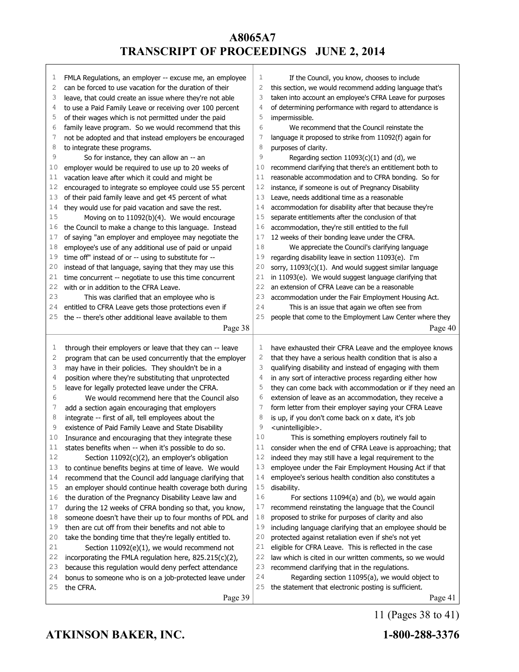| T      | FMLA Regulations, an employer -- excuse me, an employee                                                            | 1      | If the Council, you know, chooses to include                                                            |
|--------|--------------------------------------------------------------------------------------------------------------------|--------|---------------------------------------------------------------------------------------------------------|
| 2      | can be forced to use vacation for the duration of their                                                            | 2      | this section, we would recommend adding language that's                                                 |
| 3      | leave, that could create an issue where they're not able                                                           | 3      | taken into account an employee's CFRA Leave for purposes                                                |
| 4      | to use a Paid Family Leave or receiving over 100 percent                                                           | 4      | of determining performance with regard to attendance is                                                 |
| 5      | of their wages which is not permitted under the paid                                                               | 5      | impermissible.                                                                                          |
| 6      | family leave program. So we would recommend that this                                                              | 6      | We recommend that the Council reinstate the                                                             |
| 7      | not be adopted and that instead employers be encouraged                                                            | 7<br>8 | language it proposed to strike from 11092(f) again for                                                  |
| 8<br>9 | to integrate these programs.                                                                                       | 9      | purposes of clarity.                                                                                    |
| 10     | So for instance, they can allow an -- an                                                                           | 10     | Regarding section $11093(c)(1)$ and (d), we<br>recommend clarifying that there's an entitlement both to |
| 11     | employer would be required to use up to 20 weeks of                                                                | 11     | reasonable accommodation and to CFRA bonding. So for                                                    |
| 12     | vacation leave after which it could and might be                                                                   | 12     | instance, if someone is out of Pregnancy Disability                                                     |
| 13     | encouraged to integrate so employee could use 55 percent<br>of their paid family leave and get 45 percent of what  | 13     | Leave, needs additional time as a reasonable                                                            |
| 14     | they would use for paid vacation and save the rest.                                                                | 14     | accommodation for disability after that because they're                                                 |
| 15     | Moving on to 11092(b)(4). We would encourage                                                                       | 15     | separate entitlements after the conclusion of that                                                      |
| 16     | the Council to make a change to this language. Instead                                                             | 16     | accommodation, they're still entitled to the full                                                       |
| 17     | of saying "an employer and employee may negotiate the                                                              | 17     | 12 weeks of their bonding leave under the CFRA.                                                         |
| 18     | employee's use of any additional use of paid or unpaid                                                             | 18     | We appreciate the Council's clarifying language                                                         |
| 19     | time off" instead of or -- using to substitute for --                                                              | 19     | regarding disability leave in section 11093(e). I'm                                                     |
| 20     | instead of that language, saying that they may use this                                                            | 20     | sorry, 11093(c)(1). And would suggest similar language                                                  |
| 21     | time concurrent -- negotiate to use this time concurrent                                                           | 21     | in 11093(e). We would suggest language clarifying that                                                  |
| 22     | with or in addition to the CFRA Leave.                                                                             | 22     | an extension of CFRA Leave can be a reasonable                                                          |
| 23     | This was clarified that an employee who is                                                                         | 23     | accommodation under the Fair Employment Housing Act.                                                    |
| 24     | entitled to CFRA Leave gets those protections even if                                                              | 24     | This is an issue that again we often see from                                                           |
| 25     | the -- there's other additional leave available to them                                                            | 25     | people that come to the Employment Law Center where they                                                |
|        | Page 38                                                                                                            |        | Page 40                                                                                                 |
|        |                                                                                                                    |        |                                                                                                         |
|        |                                                                                                                    | 1      |                                                                                                         |
| 1      |                                                                                                                    |        | have exhausted their CFRA Leave and the employee knows                                                  |
| 2      | through their employers or leave that they can -- leave<br>program that can be used concurrently that the employer | 2      | that they have a serious health condition that is also a                                                |
| 3      | may have in their policies. They shouldn't be in a                                                                 | 3      | qualifying disability and instead of engaging with them                                                 |
| 4      | position where they're substituting that unprotected                                                               | 4      | in any sort of interactive process regarding either how                                                 |
| 5      | leave for legally protected leave under the CFRA.                                                                  | 5      | they can come back with accommodation or if they need an                                                |
| 6      | We would recommend here that the Council also                                                                      | 6      | extension of leave as an accommodation, they receive a                                                  |
| 7      | add a section again encouraging that employers                                                                     | 7      | form letter from their employer saying your CFRA Leave                                                  |
| 8      | integrate -- first of all, tell employees about the                                                                | 8      | is up, if you don't come back on x date, it's job                                                       |
| 9      | existence of Paid Family Leave and State Disability                                                                | 9      | <unintelligible>.</unintelligible>                                                                      |
| 10     | Insurance and encouraging that they integrate these                                                                | 10     | This is something employers routinely fail to                                                           |
| $1\,1$ | states benefits when -- when it's possible to do so.                                                               |        | 11 consider when the end of CFRA Leave is approaching; that                                             |
| 12     | Section $11092(c)(2)$ , an employer's obligation                                                                   | 12     | indeed they may still have a legal requirement to the                                                   |
| 13     | to continue benefits begins at time of leave. We would                                                             | 13     | employee under the Fair Employment Housing Act if that                                                  |
| 14     | recommend that the Council add language clarifying that                                                            | 14     | employee's serious health condition also constitutes a                                                  |
| 15     | an employer should continue health coverage both during                                                            | 15     | disability.                                                                                             |
| 16     | the duration of the Pregnancy Disability Leave law and                                                             | 16     | For sections 11094(a) and (b), we would again                                                           |
| 17     | during the 12 weeks of CFRA bonding so that, you know,                                                             | 17     | recommend reinstating the language that the Council                                                     |
| 18     | someone doesn't have their up to four months of PDL and                                                            | 18     | proposed to strike for purposes of clarity and also                                                     |
| 19     | then are cut off from their benefits and not able to                                                               | 19     | including language clarifying that an employee should be                                                |
| 20     | take the bonding time that they're legally entitled to.                                                            | 20     | protected against retaliation even if she's not yet                                                     |
| 21     | Section 11092(e)(1), we would recommend not                                                                        | 21     | eligible for CFRA Leave. This is reflected in the case                                                  |
| 22     | incorporating the FMLA regulation here, 825.215(c)(2),                                                             | 22     | law which is cited in our written comments, so we would                                                 |
| 23     | because this regulation would deny perfect attendance                                                              | 23     | recommend clarifying that in the regulations.                                                           |
| 24     | bonus to someone who is on a job-protected leave under                                                             | 24     | Regarding section 11095(a), we would object to                                                          |
| 25     | the CFRA.<br>Page 39                                                                                               | 25     | the statement that electronic posting is sufficient.<br>Page 41                                         |

11 (Pages 38 to 41)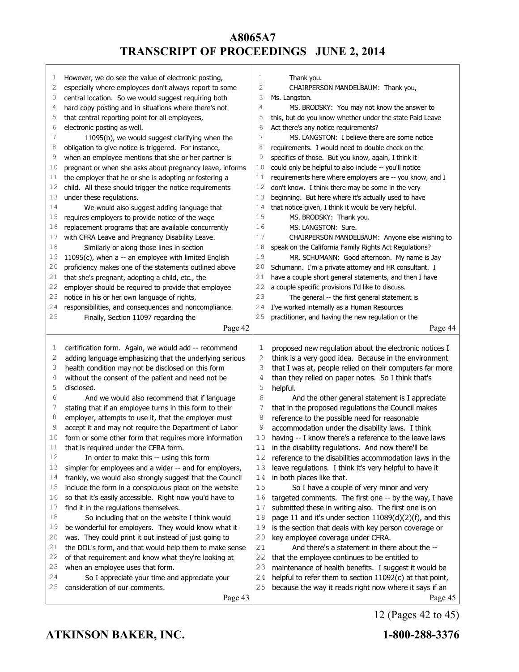|          | However, we do see the value of electronic posting,                                                             | $\mathbf 1$  | Thank you.                                                                                        |
|----------|-----------------------------------------------------------------------------------------------------------------|--------------|---------------------------------------------------------------------------------------------------|
| T<br>2   | especially where employees don't always report to some                                                          | $\mathbf{2}$ | CHAIRPERSON MANDELBAUM: Thank you,                                                                |
| 3        | central location. So we would suggest requiring both                                                            | 3            | Ms. Langston.                                                                                     |
| 4        | hard copy posting and in situations where there's not                                                           | 4            | MS. BRODSKY: You may not know the answer to                                                       |
| 5        | that central reporting point for all employees,                                                                 | 5            | this, but do you know whether under the state Paid Leave                                          |
| 6        | electronic posting as well.                                                                                     | 6            | Act there's any notice requirements?                                                              |
| 7        | 11095(b), we would suggest clarifying when the                                                                  | 7            | MS. LANGSTON: I believe there are some notice                                                     |
| 8        | obligation to give notice is triggered. For instance,                                                           | 8            | requirements. I would need to double check on the                                                 |
| 9        | when an employee mentions that she or her partner is                                                            | 9            | specifics of those. But you know, again, I think it                                               |
| 10       | pregnant or when she asks about pregnancy leave, informs                                                        | 10           | could only be helpful to also include -- you'll notice                                            |
| 11       | the employer that he or she is adopting or fostering a                                                          | 11           | requirements here where employers are -- you know, and I                                          |
| 12       | child. All these should trigger the notice requirements                                                         | 12           | don't know. I think there may be some in the very                                                 |
| 13       | under these regulations.                                                                                        | 13           | beginning. But here where it's actually used to have                                              |
| 14       | We would also suggest adding language that                                                                      | 14           | that notice given, I think it would be very helpful.                                              |
| 15       | requires employers to provide notice of the wage                                                                | 15           | MS. BRODSKY: Thank you.                                                                           |
| 16       | replacement programs that are available concurrently                                                            | 16           | MS. LANGSTON: Sure.                                                                               |
| 17       | with CFRA Leave and Pregnancy Disability Leave.                                                                 | 17           | CHAIRPERSON MANDELBAUM: Anyone else wishing to                                                    |
| 18       | Similarly or along those lines in section                                                                       | 18           | speak on the California Family Rights Act Regulations?                                            |
| 19       | 11095(c), when a -- an employee with limited English                                                            | 19           | MR. SCHUMANN: Good afternoon. My name is Jay                                                      |
| 20       | proficiency makes one of the statements outlined above                                                          | 20           | Schumann. I'm a private attorney and HR consultant. I                                             |
| 21       | that she's pregnant, adopting a child, etc., the                                                                | 21           | have a couple short general statements, and then I have                                           |
| 22       | employer should be required to provide that employee                                                            | 22           | a couple specific provisions I'd like to discuss.                                                 |
| 23       | notice in his or her own language of rights,                                                                    | 23           | The general -- the first general statement is                                                     |
| 24       | responsibilities, and consequences and noncompliance.                                                           | 24           | I've worked internally as a Human Resources                                                       |
| 25       | Finally, Section 11097 regarding the                                                                            | 25           | practitioner, and having the new regulation or the                                                |
|          | Page 42                                                                                                         |              | Page 44                                                                                           |
|          |                                                                                                                 |              |                                                                                                   |
| 1        |                                                                                                                 |              |                                                                                                   |
|          |                                                                                                                 | 1            |                                                                                                   |
| 2        | certification form. Again, we would add -- recommend<br>adding language emphasizing that the underlying serious | 2            | proposed new regulation about the electronic notices I                                            |
| 3        |                                                                                                                 | 3            | think is a very good idea. Because in the environment                                             |
| 4        | health condition may not be disclosed on this form                                                              | 4            | that I was at, people relied on their computers far more                                          |
| 5        | without the consent of the patient and need not be<br>disclosed.                                                | 5            | than they relied on paper notes. So I think that's                                                |
| 6        | And we would also recommend that if language                                                                    | 6            | helpful.<br>And the other general statement is I appreciate                                       |
| 7        | stating that if an employee turns in this form to their                                                         | 7            |                                                                                                   |
| 8        |                                                                                                                 | 8            | that in the proposed regulations the Council makes                                                |
| 9        | employer, attempts to use it, that the employer must                                                            | 9            | reference to the possible need for reasonable<br>accommodation under the disability laws. I think |
| 10       | accept it and may not require the Department of Labor                                                           | 10           |                                                                                                   |
| 11       | form or some other form that requires more information                                                          | 11           | having -- I know there's a reference to the leave laws                                            |
| 12       | that is required under the CFRA form.                                                                           |              | in the disability regulations. And now there'll be                                                |
| 13       | In order to make this -- using this form                                                                        | 13           | 12 reference to the disabilities accommodation laws in the                                        |
| 14       | simpler for employees and a wider -- and for employers,                                                         | 14           | leave regulations. I think it's very helpful to have it                                           |
| 15       | frankly, we would also strongly suggest that the Council                                                        | 15           | in both places like that.                                                                         |
| 16       | include the form in a conspicuous place on the website                                                          | 16           | So I have a couple of very minor and very                                                         |
| 17       | so that it's easily accessible. Right now you'd have to                                                         | 17           | targeted comments. The first one -- by the way, I have                                            |
| 18       | find it in the regulations themselves.                                                                          | 18           | submitted these in writing also. The first one is on                                              |
| 19       | So including that on the website I think would                                                                  | 19           | page 11 and it's under section 11089(d)(2)(f), and this                                           |
| 20       | be wonderful for employers. They would know what it                                                             | 20           | is the section that deals with key person coverage or                                             |
|          | was. They could print it out instead of just going to                                                           |              | key employee coverage under CFRA.                                                                 |
| 21<br>22 | the DOL's form, and that would help them to make sense                                                          | 21<br>22     | And there's a statement in there about the --                                                     |
| 23       | of that requirement and know what they're looking at                                                            |              | that the employee continues to be entitled to                                                     |
| 24       | when an employee uses that form.                                                                                | 23           | maintenance of health benefits. I suggest it would be                                             |
|          | So I appreciate your time and appreciate your                                                                   | 24           | helpful to refer them to section 11092(c) at that point,                                          |
| 25       | consideration of our comments.<br>Page 43                                                                       | 25           | because the way it reads right now where it says if an<br>Page 45                                 |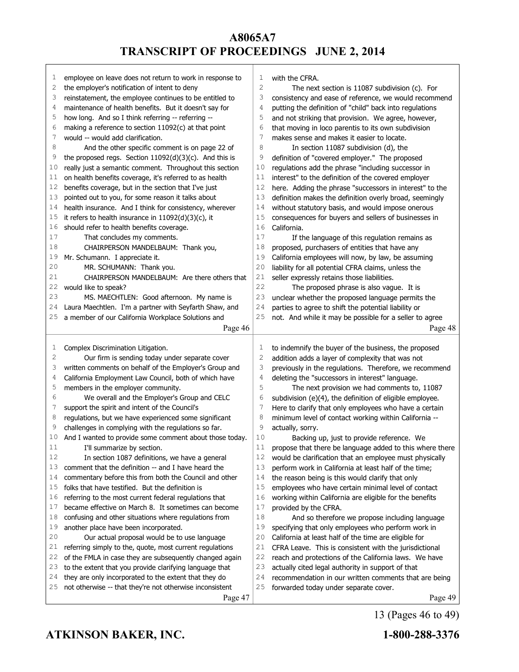| ı  | employee on leave does not return to work in response to            | 1            | with the CFRA.                                           |
|----|---------------------------------------------------------------------|--------------|----------------------------------------------------------|
| 2  | the employer's notification of intent to deny                       | $\mathbf{2}$ | The next section is 11087 subdivision (c). For           |
| 3  | reinstatement, the employee continues to be entitled to             | 3            | consistency and ease of reference, we would recommend    |
| 4  | maintenance of health benefits. But it doesn't say for              | 4            | putting the definition of "child" back into regulations  |
| 5  | how long. And so I think referring -- referring --                  | 5            | and not striking that provision. We agree, however,      |
| 6  | making a reference to section 11092(c) at that point                | 6            | that moving in loco parentis to its own subdivision      |
| 7  | would -- would add clarification.                                   | 7            | makes sense and makes it easier to locate.               |
| 8  | And the other specific comment is on page 22 of                     | 8            | In section 11087 subdivision (d), the                    |
| 9  | the proposed regs. Section 11092(d)(3)(c). And this is              | 9            | definition of "covered employer." The proposed           |
| 10 | really just a semantic comment. Throughout this section             | 10           | regulations add the phrase "including successor in       |
| 11 | on health benefits coverage, it's referred to as health             | 11           | interest" to the definition of the covered employer      |
| 12 | benefits coverage, but in the section that I've just                | 12           | here. Adding the phrase "successors in interest" to the  |
| 13 | pointed out to you, for some reason it talks about                  | 13           | definition makes the definition overly broad, seemingly  |
| 14 | health insurance. And I think for consistency, wherever             | 14           | without statutory basis, and would impose onerous        |
| 15 | it refers to health insurance in 11092(d)(3)(c), it                 | 15           | consequences for buyers and sellers of businesses in     |
| 16 | should refer to health benefits coverage.                           | 16           | California.                                              |
| 17 | That concludes my comments.                                         | 17           | If the language of this regulation remains as            |
| 18 | CHAIRPERSON MANDELBAUM: Thank you,                                  | 18           | proposed, purchasers of entities that have any           |
| 19 | Mr. Schumann. I appreciate it.                                      | 19           | California employees will now, by law, be assuming       |
| 20 | MR. SCHUMANN: Thank you.                                            | 20           | liability for all potential CFRA claims, unless the      |
| 21 | CHAIRPERSON MANDELBAUM: Are there others that                       | 21           | seller expressly retains those liabilities.              |
| 22 | would like to speak?                                                | 22           | The proposed phrase is also vague. It is                 |
| 23 | MS. MAECHTLEN: Good afternoon. My name is                           | 23           | unclear whether the proposed language permits the        |
| 24 | Laura Maechtlen. I'm a partner with Seyfarth Shaw, and              | 24           | parties to agree to shift the potential liability or     |
| 25 | a member of our California Workplace Solutions and                  | 25           | not. And while it may be possible for a seller to agree  |
|    | Page 46                                                             |              | Page 48                                                  |
|    |                                                                     |              |                                                          |
|    |                                                                     |              |                                                          |
| 1  | Complex Discrimination Litigation.                                  | 1            | to indemnify the buyer of the business, the proposed     |
| 2  | Our firm is sending today under separate cover                      | 2            | addition adds a layer of complexity that was not         |
| 3  | written comments on behalf of the Employer's Group and              | 3            | previously in the regulations. Therefore, we recommend   |
| 4  | California Employment Law Council, both of which have               | 4            | deleting the "successors in interest" language.          |
| 5  | members in the employer community.                                  | 5            | The next provision we had comments to, 11087             |
| 6  | We overall and the Employer's Group and CELC                        | 6            | subdivision (e)(4), the definition of eligible employee. |
| 7  | support the spirit and intent of the Council's                      | 7            | Here to clarify that only employees who have a certain   |
| 8  | regulations, but we have experienced some significant               | 8            | minimum level of contact working within California --    |
| 9  | challenges in complying with the regulations so far.                | 9            | actually, sorry.                                         |
| 10 | And I wanted to provide some comment about those today.             | 10           | Backing up, just to provide reference. We                |
| 11 | I'll summarize by section.                                          | 11           | propose that there be language added to this where there |
| 12 | In section 1087 definitions, we have a general                      | 12           | would be clarification that an employee must physically  |
| 13 | comment that the definition -- and I have heard the                 | 13           | perform work in California at least half of the time;    |
| 14 | commentary before this from both the Council and other              | 14           | the reason being is this would clarify that only         |
| 15 | folks that have testified. But the definition is                    | 15           | employees who have certain minimal level of contact      |
| 16 | referring to the most current federal regulations that              | 16           | working within California are eligible for the benefits  |
| 17 | became effective on March 8. It sometimes can become                | 17           | provided by the CFRA.                                    |
| 18 | confusing and other situations where regulations from               | 18           | And so therefore we propose including language           |
| 19 | another place have been incorporated.                               | 19           | specifying that only employees who perform work in       |
| 20 | Our actual proposal would be to use language                        | 20           | California at least half of the time are eligible for    |
| 21 | referring simply to the, quote, most current regulations            | 21           | CFRA Leave. This is consistent with the jurisdictional   |
| 22 | of the FMLA in case they are subsequently changed again             | 22           | reach and protections of the California laws. We have    |
| 23 | to the extent that you provide clarifying language that             | 23           | actually cited legal authority in support of that        |
| 24 | they are only incorporated to the extent that they do               | 24           | recommendation in our written comments that are being    |
| 25 | not otherwise -- that they're not otherwise inconsistent<br>Page 47 | 25           | forwarded today under separate cover.<br>Page 49         |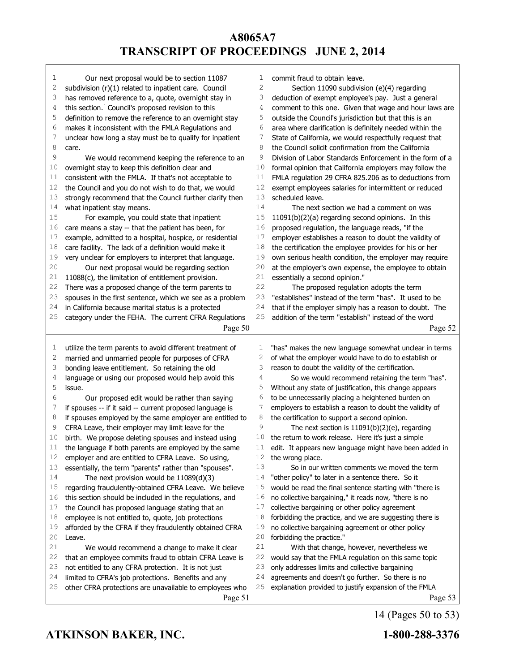| 1      | Our next proposal would be to section 11087                                                               | 1              | commit fraud to obtain leave.                                                                                    |
|--------|-----------------------------------------------------------------------------------------------------------|----------------|------------------------------------------------------------------------------------------------------------------|
| 2      | subdivision (r)(1) related to inpatient care. Council                                                     | $\overline{c}$ | Section 11090 subdivision (e)(4) regarding                                                                       |
| 3      | has removed reference to a, quote, overnight stay in                                                      | 3              | deduction of exempt employee's pay. Just a general                                                               |
| 4      | this section. Council's proposed revision to this                                                         | 4              | comment to this one. Given that wage and hour laws are                                                           |
| 5      | definition to remove the reference to an overnight stay                                                   | 5              | outside the Council's jurisdiction but that this is an                                                           |
| 6<br>7 | makes it inconsistent with the FMLA Regulations and                                                       | 6              | area where clarification is definitely needed within the                                                         |
| 8      | unclear how long a stay must be to qualify for inpatient                                                  | 7<br>8         | State of California, we would respectfully request that<br>the Council solicit confirmation from the California  |
| 9      | care.                                                                                                     | 9              | Division of Labor Standards Enforcement in the form of a                                                         |
| 10     | We would recommend keeping the reference to an                                                            | 10             |                                                                                                                  |
| 11     | overnight stay to keep this definition clear and<br>consistent with the FMLA. If that's not acceptable to | 11             | formal opinion that California employers may follow the<br>FMLA regulation 29 CFRA 825.206 as to deductions from |
| 12     | the Council and you do not wish to do that, we would                                                      | 12             | exempt employees salaries for intermittent or reduced                                                            |
| 13     | strongly recommend that the Council further clarify then                                                  | 13             | scheduled leave.                                                                                                 |
| 14     | what inpatient stay means.                                                                                | 14             | The next section we had a comment on was                                                                         |
| 15     | For example, you could state that inpatient                                                               | 15             | 11091(b)(2)(a) regarding second opinions. In this                                                                |
| 16     | care means a stay -- that the patient has been, for                                                       | 16             | proposed regulation, the language reads, "if the                                                                 |
| 17     | example, admitted to a hospital, hospice, or residential                                                  | 17             | employer establishes a reason to doubt the validity of                                                           |
| 18     | care facility. The lack of a definition would make it                                                     | 18             | the certification the employee provides for his or her                                                           |
| 19     | very unclear for employers to interpret that language.                                                    | 19             | own serious health condition, the employer may require                                                           |
| 20     | Our next proposal would be regarding section                                                              | 20             | at the employer's own expense, the employee to obtain                                                            |
| 21     | 11088(c), the limitation of entitlement provision.                                                        | 21             | essentially a second opinion."                                                                                   |
| 22     | There was a proposed change of the term parents to                                                        | 22             | The proposed regulation adopts the term                                                                          |
| 23     | spouses in the first sentence, which we see as a problem                                                  | 23             | "establishes" instead of the term "has". It used to be                                                           |
| 24     | in California because marital status is a protected                                                       | 24             | that if the employer simply has a reason to doubt. The                                                           |
| 25     | category under the FEHA. The current CFRA Regulations                                                     | 25             | addition of the term "establish" instead of the word                                                             |
|        | Page 50                                                                                                   |                | Page 52                                                                                                          |
|        |                                                                                                           |                |                                                                                                                  |
|        |                                                                                                           |                |                                                                                                                  |
|        |                                                                                                           | 1              |                                                                                                                  |
| 1<br>2 | utilize the term parents to avoid different treatment of                                                  | 2              | "has" makes the new language somewhat unclear in terms                                                           |
| 3      | married and unmarried people for purposes of CFRA                                                         | 3              | of what the employer would have to do to establish or                                                            |
| 4      | bonding leave entitlement. So retaining the old<br>language or using our proposed would help avoid this   | 4              | reason to doubt the validity of the certification.<br>So we would recommend retaining the term "has".            |
| 5      | issue.                                                                                                    | 5              | Without any state of justification, this change appears                                                          |
| 6      | Our proposed edit would be rather than saying                                                             | 6              | to be unnecessarily placing a heightened burden on                                                               |
| 7      | if spouses -- if it said -- current proposed language is                                                  | 7              | employers to establish a reason to doubt the validity of                                                         |
| 8      | if spouses employed by the same employer are entitled to                                                  | 8              | the certification to support a second opinion.                                                                   |
| 9      | CFRA Leave, their employer may limit leave for the                                                        | 9              | The next section is $11091(b)(2)(e)$ , regarding                                                                 |
| 10     | birth. We propose deleting spouses and instead using                                                      | 10             | the return to work release. Here it's just a simple                                                              |
| 11     | the language if both parents are employed by the same                                                     | 11             | edit. It appears new language might have been added in                                                           |
| 12     | employer and are entitled to CFRA Leave. So using,                                                        | 12             | the wrong place.                                                                                                 |
| 13     | essentially, the term "parents" rather than "spouses".                                                    | 13             | So in our written comments we moved the term                                                                     |
| 14     | The next provision would be 11089(d)(3)                                                                   | 14             | "other policy" to later in a sentence there. So it                                                               |
| 15     | regarding fraudulently-obtained CFRA Leave. We believe                                                    | 15             | would be read the final sentence starting with "there is                                                         |
| 16     | this section should be included in the regulations, and                                                   | 16             | no collective bargaining," it reads now, "there is no                                                            |
| 17     | the Council has proposed language stating that an                                                         | 17             | collective bargaining or other policy agreement                                                                  |
| 18     | employee is not entitled to, quote, job protections                                                       | 18             | forbidding the practice, and we are suggesting there is                                                          |
| 19     | afforded by the CFRA if they fraudulently obtained CFRA                                                   | 19             | no collective bargaining agreement or other policy                                                               |
| 20     | Leave.                                                                                                    | 20             | forbidding the practice."                                                                                        |
| 21     | We would recommend a change to make it clear                                                              | 21             | With that change, however, nevertheless we                                                                       |
| 22     | that an employee commits fraud to obtain CFRA Leave is                                                    | 22             | would say that the FMLA regulation on this same topic                                                            |
| 23     | not entitled to any CFRA protection. It is not just                                                       | 23             | only addresses limits and collective bargaining                                                                  |
| 24     | limited to CFRA's job protections. Benefits and any                                                       | 24             | agreements and doesn't go further. So there is no                                                                |
| 25     | other CFRA protections are unavailable to employees who<br>Page 51                                        | 25             | explanation provided to justify expansion of the FMLA<br>Page 53                                                 |

**ATKINSON BAKER, INC. 1-800-288-3376**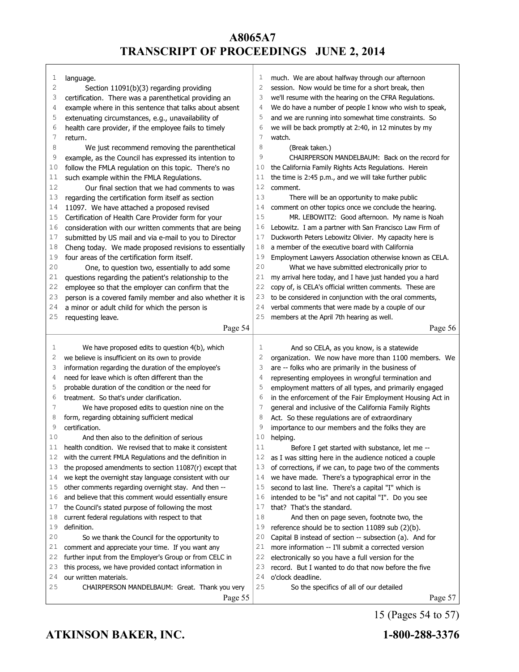| 1  | language.                                                | 1  | much. We are about halfway through our afternoon         |
|----|----------------------------------------------------------|----|----------------------------------------------------------|
| 2  | Section 11091(b)(3) regarding providing                  | 2  | session. Now would be time for a short break, then       |
| 3  | certification. There was a parenthetical providing an    | 3  | we'll resume with the hearing on the CFRA Regulations.   |
| 4  | example where in this sentence that talks about absent   | 4  | We do have a number of people I know who wish to speak,  |
| 5  | extenuating circumstances, e.g., unavailability of       | 5  | and we are running into somewhat time constraints. So    |
| 6  | health care provider, if the employee fails to timely    | 6  | we will be back promptly at 2:40, in 12 minutes by my    |
| 7  | return.                                                  | 7  | watch.                                                   |
| 8  | We just recommend removing the parenthetical             | 8  | (Break taken.)                                           |
| 9  | example, as the Council has expressed its intention to   | 9  | CHAIRPERSON MANDELBAUM: Back on the record for           |
| 10 | follow the FMLA regulation on this topic. There's no     | 10 | the California Family Rights Acts Regulations. Herein    |
| 11 | such example within the FMLA Regulations.                | 11 | the time is 2:45 p.m., and we will take further public   |
| 12 | Our final section that we had comments to was            | 12 | comment.                                                 |
| 13 | regarding the certification form itself as section       | 13 | There will be an opportunity to make public              |
| 14 | 11097. We have attached a proposed revised               | 14 | comment on other topics once we conclude the hearing.    |
| 15 | Certification of Health Care Provider form for your      | 15 | MR. LEBOWITZ: Good afternoon. My name is Noah            |
| 16 | consideration with our written comments that are being   | 16 | Lebowitz. I am a partner with San Francisco Law Firm of  |
| 17 | submitted by US mail and via e-mail to you to Director   | 17 | Duckworth Peters Lebowitz Olivier. My capacity here is   |
| 18 | Cheng today. We made proposed revisions to essentially   | 18 | a member of the executive board with California          |
| 19 | four areas of the certification form itself.             | 19 | Employment Lawyers Association otherwise known as CELA.  |
| 20 | One, to question two, essentially to add some            | 20 | What we have submitted electronically prior to           |
| 21 | questions regarding the patient's relationship to the    | 21 | my arrival here today, and I have just handed you a hard |
| 22 | employee so that the employer can confirm that the       | 22 | copy of, is CELA's official written comments. These are  |
| 23 | person is a covered family member and also whether it is | 23 | to be considered in conjunction with the oral comments,  |
| 24 | a minor or adult child for which the person is           | 24 | verbal comments that were made by a couple of our        |
| 25 | requesting leave.                                        | 25 | members at the April 7th hearing as well.                |
|    | Page 54                                                  |    | Page 56                                                  |
|    |                                                          |    |                                                          |
|    |                                                          |    |                                                          |
|    |                                                          |    |                                                          |
| 1  | We have proposed edits to question 4(b), which           | 1  | And so CELA, as you know, is a statewide                 |
| 2  | we believe is insufficient on its own to provide         | 2  | organization. We now have more than 1100 members. We     |
| 3  | information regarding the duration of the employee's     | 3  | are -- folks who are primarily in the business of        |
| 4  | need for leave which is often different than the         | 4  | representing employees in wrongful termination and       |
| 5  | probable duration of the condition or the need for       | 5  | employment matters of all types, and primarily engaged   |
| 6  | treatment. So that's under clarification.                | 6  | in the enforcement of the Fair Employment Housing Act in |
| 7  | We have proposed edits to question nine on the           | 7  | general and inclusive of the California Family Rights    |
| 8  | form, regarding obtaining sufficient medical             | 8  | Act. So these regulations are of extraordinary           |
| 9  | certification.                                           | 9  | importance to our members and the folks they are         |
| 10 | And then also to the definition of serious               | 10 | helping.                                                 |
| 11 | health condition. We revised that to make it consistent  | 11 | Before I get started with substance, let me --           |
| 12 | with the current FMLA Regulations and the definition in  | 12 | as I was sitting here in the audience noticed a couple   |
| 13 | the proposed amendments to section 11087(r) except that  | 13 | of corrections, if we can, to page two of the comments   |
| 14 | we kept the overnight stay language consistent with our  | 14 | we have made. There's a typographical error in the       |
| 15 | other comments regarding overnight stay. And then --     | 15 | second to last line. There's a capital "I" which is      |
| 16 | and believe that this comment would essentially ensure   | 16 | intended to be "is" and not capital "I". Do you see      |
| 17 | the Council's stated purpose of following the most       | 17 | that? That's the standard.                               |
| 18 | current federal regulations with respect to that         | 18 | And then on page seven, footnote two, the                |
| 19 | definition.                                              | 19 | reference should be to section 11089 sub (2)(b).         |
| 20 | So we thank the Council for the opportunity to           | 20 | Capital B instead of section -- subsection (a). And for  |
| 21 | comment and appreciate your time. If you want any        | 21 | more information -- I'll submit a corrected version      |
| 22 | further input from the Employer's Group or from CELC in  | 22 | electronically so you have a full version for the        |
| 23 | this process, we have provided contact information in    | 23 | record. But I wanted to do that now before the five      |
| 24 | our written materials.                                   | 24 | o'clock deadline.                                        |
| 25 | CHAIRPERSON MANDELBAUM: Great. Thank you very            | 25 | So the specifics of all of our detailed                  |

15 (Pages 54 to 57)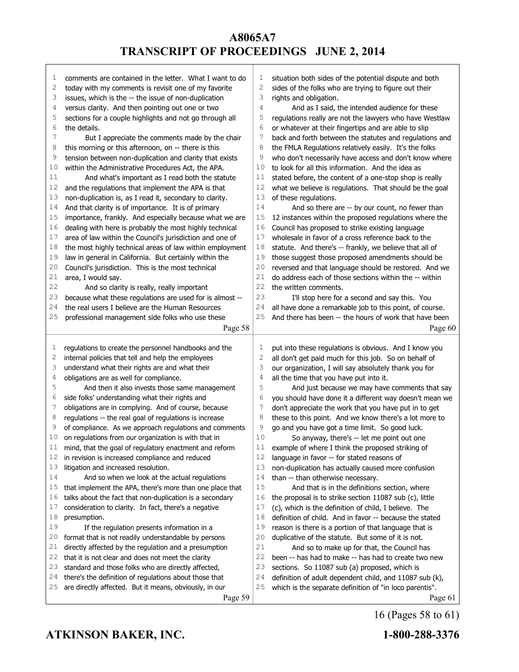| 1  | comments are contained in the letter. What I want to do  | 1  | situation both sides of the potential dispute and both   |
|----|----------------------------------------------------------|----|----------------------------------------------------------|
| 2  | today with my comments is revisit one of my favorite     | 2  | sides of the folks who are trying to figure out their    |
| 3  | issues, which is the -- the issue of non-duplication     | 3  | rights and obligation.                                   |
| 4  | versus clarity. And then pointing out one or two         | 4  | And as I said, the intended audience for these           |
| 5  | sections for a couple highlights and not go through all  | 5  | regulations really are not the lawyers who have Westlaw  |
| 6  | the details.                                             | 6  | or whatever at their fingertips and are able to slip     |
| 7  | But I appreciate the comments made by the chair          | 7  | back and forth between the statutes and regulations and  |
| 8  | this morning or this afternoon, on -- there is this      | 8  | the FMLA Regulations relatively easily. It's the folks   |
| 9  | tension between non-duplication and clarity that exists  | 9  | who don't necessarily have access and don't know where   |
| 10 | within the Administrative Procedures Act, the APA.       | 10 | to look for all this information. And the idea as        |
| 11 | And what's important as I read both the statute          | 11 | stated before, the content of a one-stop shop is really  |
| 12 | and the regulations that implement the APA is that       | 12 | what we believe is regulations. That should be the goal  |
| 13 | non-duplication is, as I read it, secondary to clarity.  | 13 | of these regulations.                                    |
| 14 | And that clarity is of importance. It is of primary      | 14 | And so there are -- by our count, no fewer than          |
| 15 | importance, frankly. And especially because what we are  | 15 | 12 instances within the proposed regulations where the   |
| 16 | dealing with here is probably the most highly technical  | 16 | Council has proposed to strike existing language         |
| 17 | area of law within the Council's jurisdiction and one of | 17 | wholesale in favor of a cross reference back to the      |
| 18 | the most highly technical areas of law within employment | 18 | statute. And there's -- frankly, we believe that all of  |
| 19 | law in general in California. But certainly within the   | 19 | those suggest those proposed amendments should be        |
| 20 | Council's jurisdiction. This is the most technical       | 20 | reversed and that language should be restored. And we    |
| 21 | area, I would say.                                       | 21 | do address each of those sections within the -- within   |
| 22 | And so clarity is really, really important               | 22 | the written comments.                                    |
| 23 | because what these regulations are used for is almost -- | 23 | I'll stop here for a second and say this. You            |
| 24 | the real users I believe are the Human Resources         | 24 | all have done a remarkable job to this point, of course. |
| 25 |                                                          | 25 |                                                          |
|    | professional management side folks who use these         |    | And there has been -- the hours of work that have been   |
|    | Page 58                                                  |    | Page 60                                                  |
|    |                                                          |    |                                                          |
|    |                                                          |    |                                                          |
| 1  | regulations to create the personnel handbooks and the    | 1  | put into these regulations is obvious. And I know you    |
| 2  | internal policies that tell and help the employees       | 2  | all don't get paid much for this job. So on behalf of    |
| 3  | understand what their rights are and what their          | 3  | our organization, I will say absolutely thank you for    |
| 4  | obligations are as well for compliance.                  | 4  | all the time that you have put into it.                  |
| 5  | And then it also invests those same management           | 5  | And just because we may have comments that say           |
| 6  | side folks' understanding what their rights and          | 6  | you should have done it a different way doesn't mean we  |
| 7  | obligations are in complying. And of course, because     | 7  | don't appreciate the work that you have put in to get    |
| 8  | regulations -- the real goal of regulations is increase  | 8  | these to this point. And we know there's a lot more to   |
| 9  | of compliance. As we approach regulations and comments   | 9  | go and you have got a time limit. So good luck.          |
| 10 | on regulations from our organization is with that in     | 10 | So anyway, there's -- let me point out one               |
| 11 | mind, that the goal of regulatory enactment and reform   | 11 | example of where I think the proposed striking of        |
| 12 | in revision is increased compliance and reduced          | 12 | language in favor -- for stated reasons of               |
| 13 | litigation and increased resolution.                     | 13 | non-duplication has actually caused more confusion       |
| 14 | And so when we look at the actual regulations            | 14 | than -- than otherwise necessary.                        |
| 15 | that implement the APA, there's more than one place that | 15 | And that is in the definitions section, where            |
| 16 | talks about the fact that non-duplication is a secondary | 16 | the proposal is to strike section 11087 sub (c), little  |
| 17 | consideration to clarity. In fact, there's a negative    | 17 | (c), which is the definition of child, I believe. The    |
| 18 | presumption.                                             | 18 | definition of child. And in favor -- because the stated  |
| 19 | If the regulation presents information in a              | 19 | reason is there is a portion of that language that is    |
| 20 | format that is not readily understandable by persons     | 20 | duplicative of the statute. But some of it is not.       |
| 21 | directly affected by the regulation and a presumption    | 21 | And so to make up for that, the Council has              |
| 22 | that it is not clear and does not meet the clarity       | 22 | been -- has had to make -- has had to create two new     |
| 23 | standard and those folks who are directly affected,      | 23 | sections. So 11087 sub (a) proposed, which is            |
| 24 | there's the definition of regulations about those that   | 24 | definition of adult dependent child, and 11087 sub (k),  |
| 25 | are directly affected. But it means, obviously, in our   | 25 | which is the separate definition of "in loco parentis".  |

16 (Pages 58 to 61)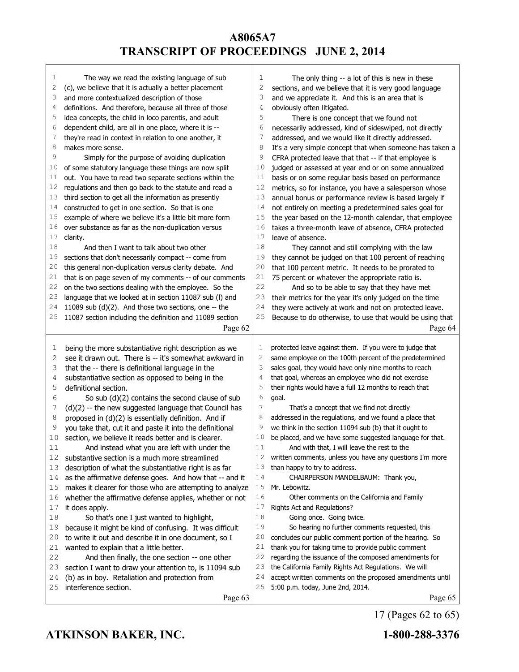| 1  |                                                          |          |                                                          |
|----|----------------------------------------------------------|----------|----------------------------------------------------------|
|    | The way we read the existing language of sub             | 1        | The only thing -- a lot of this is new in these          |
| 2  | (c), we believe that it is actually a better placement   | 2        | sections, and we believe that it is very good language   |
| 3  | and more contextualized description of those             | 3        | and we appreciate it. And this is an area that is        |
| 4  | definitions. And therefore, because all three of those   | 4        | obviously often litigated.                               |
| 5  | idea concepts, the child in loco parentis, and adult     | 5        | There is one concept that we found not                   |
| 6  | dependent child, are all in one place, where it is --    | 6        | necessarily addressed, kind of sideswiped, not directly  |
| 7  | they're read in context in relation to one another, it   | 7        | addressed, and we would like it directly addressed.      |
| 8  | makes more sense.                                        | 8        | It's a very simple concept that when someone has taken a |
| 9  | Simply for the purpose of avoiding duplication           | 9        | CFRA protected leave that that -- if that employee is    |
| 10 | of some statutory language these things are now split    | 10       | judged or assessed at year end or on some annualized     |
| 11 | out. You have to read two separate sections within the   | 11       | basis or on some regular basis based on performance      |
| 12 | regulations and then go back to the statute and read a   | 12       | metrics, so for instance, you have a salesperson whose   |
| 13 | third section to get all the information as presently    | 13       | annual bonus or performance review is based largely if   |
| 14 | constructed to get in one section. So that is one        | 14       | not entirely on meeting a predetermined sales goal for   |
| 15 | example of where we believe it's a little bit more form  | 15       | the year based on the 12-month calendar, that employee   |
| 16 | over substance as far as the non-duplication versus      | 16       | takes a three-month leave of absence, CFRA protected     |
| 17 | clarity.                                                 | 17       | leave of absence.                                        |
| 18 | And then I want to talk about two other                  | 18       | They cannot and still complying with the law             |
| 19 | sections that don't necessarily compact -- come from     | 19       | they cannot be judged on that 100 percent of reaching    |
| 20 | this general non-duplication versus clarity debate. And  | 20       | that 100 percent metric. It needs to be prorated to      |
| 21 | that is on page seven of my comments -- of our comments  | 21       | 75 percent or whatever the appropriate ratio is.         |
| 22 | on the two sections dealing with the employee. So the    | 22       | And so to be able to say that they have met              |
| 23 | language that we looked at in section 11087 sub (I) and  | 23       | their metrics for the year it's only judged on the time  |
| 24 | 11089 sub (d)(2). And those two sections, one -- the     | 24       | they were actively at work and not on protected leave.   |
| 25 | 11087 section including the definition and 11089 section | 25       | Because to do otherwise, to use that would be using that |
|    | Page 62                                                  |          | Page 64                                                  |
|    |                                                          |          |                                                          |
|    |                                                          |          |                                                          |
| 1  | being the more substantiative right description as we    | 1        | protected leave against them. If you were to judge that  |
| 2  | see it drawn out. There is -- it's somewhat awkward in   | 2        | same employee on the 100th percent of the predetermined  |
| 3  | that the -- there is definitional language in the        | 3        | sales goal, they would have only nine months to reach    |
| 4  | substantiative section as opposed to being in the        | 4        | that goal, whereas an employee who did not exercise      |
| 5  | definitional section.                                    | 5        | their rights would have a full 12 months to reach that   |
| 6  | So sub $(d)(2)$ contains the second clause of sub        | 6        | goal.                                                    |
| 7  | $(d)(2)$ -- the new suggested language that Council has  | 7        | That's a concept that we find not directly               |
| 8  | proposed in (d)(2) is essentially definition. And if     | 8        | addressed in the regulations, and we found a place that  |
| 9  | you take that, cut it and paste it into the definitional | 9        | we think in the section 11094 sub (b) that it ought to   |
| 10 | section, we believe it reads better and is clearer.      | 10       | be placed, and we have some suggested language for that. |
| 11 | And instead what you are left with under the             | $1\,1$   | And with that, I will leave the rest to the              |
| 12 | substantive section is a much more streamlined           | 12       | written comments, unless you have any questions I'm more |
| 13 | description of what the substantiative right is as far   | 13       | than happy to try to address.                            |
| 14 | as the affirmative defense goes. And how that -- and it  | 14       | CHAIRPERSON MANDELBAUM: Thank you,                       |
| 15 | makes it clearer for those who are attempting to analyze | 15       | Mr. Lebowitz.                                            |
| 16 | whether the affirmative defense applies, whether or not  | 16       | Other comments on the California and Family              |
| 17 | it does apply.                                           | 17       | Rights Act and Regulations?                              |
| 18 | So that's one I just wanted to highlight,                | 18       | Going once. Going twice.                                 |
| 19 | because it might be kind of confusing. It was difficult  | 19       | So hearing no further comments requested, this           |
| 20 | to write it out and describe it in one document, so I    | 20       | concludes our public comment portion of the hearing. So  |
| 21 | wanted to explain that a little better.                  | 21       | thank you for taking time to provide public comment      |
| 22 | And then finally, the one section -- one other           | 22       | regarding the issuance of the composed amendments for    |
| 23 | section I want to draw your attention to, is 11094 sub   | 23       | the California Family Rights Act Regulations. We will    |
| 24 | (b) as in boy. Retaliation and protection from           | 24<br>25 | accept written comments on the proposed amendments until |
| 25 | interference section.<br>Page 63                         |          | 5:00 p.m. today, June 2nd, 2014.<br>Page 65              |

17 (Pages 62 to 65)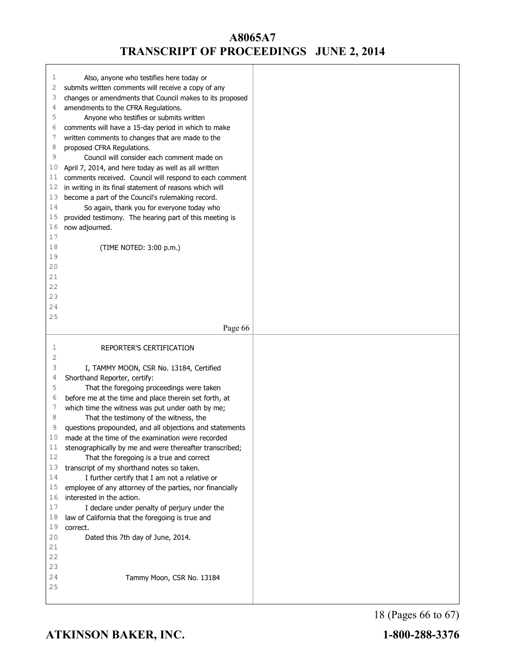| 1<br>2   | Also, anyone who testifies here today or<br>submits written comments will receive a copy of any         |  |
|----------|---------------------------------------------------------------------------------------------------------|--|
| 3        | changes or amendments that Council makes to its proposed                                                |  |
| 4        | amendments to the CFRA Regulations.                                                                     |  |
| 5<br>6   | Anyone who testifies or submits written                                                                 |  |
| 7        | comments will have a 15-day period in which to make<br>written comments to changes that are made to the |  |
| 8        | proposed CFRA Regulations.                                                                              |  |
| 9        | Council will consider each comment made on                                                              |  |
| 10       | April 7, 2014, and here today as well as all written                                                    |  |
| 11       | comments received. Council will respond to each comment                                                 |  |
| 12       | in writing in its final statement of reasons which will                                                 |  |
| 13       | become a part of the Council's rulemaking record.                                                       |  |
| 14       | So again, thank you for everyone today who                                                              |  |
| 15       | provided testimony. The hearing part of this meeting is                                                 |  |
| 16       | now adjourned.                                                                                          |  |
| 17       |                                                                                                         |  |
| 18       | (TIME NOTED: 3:00 p.m.)                                                                                 |  |
| 19<br>20 |                                                                                                         |  |
| 21       |                                                                                                         |  |
| 22       |                                                                                                         |  |
| 23       |                                                                                                         |  |
| 24       |                                                                                                         |  |
| 25       |                                                                                                         |  |
|          | Page 66                                                                                                 |  |
|          |                                                                                                         |  |
|          |                                                                                                         |  |
| 1        | REPORTER'S CERTIFICATION                                                                                |  |
| 2        |                                                                                                         |  |
| 3        | I, TAMMY MOON, CSR No. 13184, Certified                                                                 |  |
| 4<br>5   | Shorthand Reporter, certify:                                                                            |  |
| 6        | That the foregoing proceedings were taken<br>before me at the time and place therein set forth, at      |  |
| 7        | which time the witness was put under oath by me;                                                        |  |
| 8        | That the testimony of the witness, the                                                                  |  |
| 9        | questions propounded, and all objections and statements                                                 |  |
| 10       | made at the time of the examination were recorded                                                       |  |
| 11       | stenographically by me and were thereafter transcribed;                                                 |  |
| 12       | That the foregoing is a true and correct                                                                |  |
| 13       | transcript of my shorthand notes so taken.                                                              |  |
| 14       | I further certify that I am not a relative or                                                           |  |
| 15       | employee of any attorney of the parties, nor financially                                                |  |
| 16<br>17 | interested in the action.                                                                               |  |
|          | I declare under penalty of perjury under the                                                            |  |
| 18<br>19 | law of California that the foregoing is true and<br>correct.                                            |  |
| 20       | Dated this 7th day of June, 2014.                                                                       |  |
| 21       |                                                                                                         |  |
| 22       |                                                                                                         |  |
| 23       |                                                                                                         |  |
| 24       | Tammy Moon, CSR No. 13184                                                                               |  |
| 25       |                                                                                                         |  |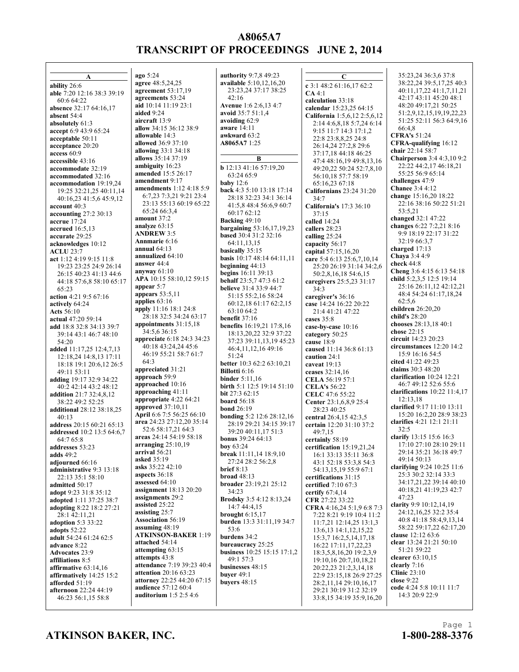**A ability** 26:6 **able** 7:20 12:16 38:3 39:19 60:6 64:22 **absence** 32:17 64:16,17 **absent** 54:4 **absolutely** 61:3 **accept** 6:9 43:9 65:24 **acceptable** 50:11 **acceptance** 20:20 **access** 60:9 **accessible** 43:16 **accommodate** 32:19 **accommodated** 32:16 **accommodation** 19:19,24 19:25 32:21,25 40:11,14 40:16,23 41:5,6 45:9,12 **account** 40:3 **accounting** 27:2 30:13 **accrue** 17:24 **accrued** 16:5,13 **accurate** 29:25 **acknowledges** 10:12 **ACLU** 23:7 **act** 1:12 4:19 9:15 11:8 19:23 23:25 24:9 26:14 26:15 40:23 41:13 44:6 44:18 57:6,8 58:10 65:17 65:23 **action** 4:21 9:5 67:16 **actively** 64:24 **Acts** 56:10 **actual** 47:20 59:14 **add** 18:8 32:8 34:13 39:7 39:14 43:1 46:7 48:10 54:20 **added** 11:17,25 12:4,7,13 12:18,24 14:8,13 17:11 18:18 19:1 20:6,12 26:5 49:11 53:11 **adding** 19:17 32:9 34:22 40:2 42:14 43:2 48:12 **addition** 21:7 32:4,8,12  $38.2249.2525$ **additional** 28:12 38:18,25 40:13 **address** 20:15 60:21 65:13 **addressed** 10:2 13:5 64:6,7 64:7 65:8 **addresses** 53:23 **adds** 49:2 **adjourned** 66:16 **administrative** 9:3 13:18 22:13 35:1 58:10 **admitted** 50:17 **adopt** 9:23 31:8 35:12 **adopted** 1:11 37:25 38:7 **adopting** 8:22 18:2 27:21 28:1 42:11,21 **adoption** 5:3 33:22 **adopts** 52:22 **adult** 54:24 61:24 62:5 **advance** 8:22 **Advocates** 23:9 **affiliations** 8:5 **affirmative** 63:14,16 **affirmatively** 14:25 15:2 **afforded** 51:19 **afternoon** 22:24 44:19 46:23 56:1,15 58:8

**ago** 5:24 **agree** 48:5,24,25 **agreement** 53:17,19 **agreements** 53:24 **aid** 10:14 11:19 23:1 **aided** 9:24 **aircraft** 13:9 **allow** 34:15 36:12 38:9 **allowable** 14:3 **allowed** 36:9 37:10 **allowing** 33:1 34:18 **allows** 35:14 37:19 **ambiguity** 16:23 **amended** 15:5 26:17 **amendment** 9:17 **amendments** 1:12 4:18 5:9 6:7,23 7:3,21 9:21 23:4 23:13 55:13 60:19 65:22 65:24 66:3,4 **amount** 37:2 **analyze** 63:15 **ANDREW** 3:5 **Annmarie** 6:16 **annual** 64:13 **annualized** 64:10 **answer** 44:4 **anyway** 61:10 **APA** 10:15 58:10,12 59:15 **appear** 5:7 **appears** 53:5,11 **applies** 63:16 **apply** 11:16 18:1 24:8 28:18 32:5 34:24 63:17 **appointments** 31:15,18 34:5,6 36:15 **appreciate** 6:18 24:3 34:23 40:18 43:24,24 45:6 46:19 55:21 58:7 61:7 64:3 **appreciated** 31:21 **approach** 59:9 **approached** 10:16 **approaching** 41:11 **appropriate** 4:22 64:21 **approved** 37:10,11 **April** 6:6 7:5 56:25 66:10 **area** 24:23 27:12,20 35:14 52:6 58:17,21 64:3 **areas** 24:14 54:19 58:18 **arranging** 25:10,19 **arrival** 56:21 **asked** 35:19 **asks** 35:22 42:10 **aspects** 36:18 **assessed** 64:10 **assignment** 18:13 20:20 **assignments** 29:2 **assisted** 25:22 **assisting** 25:7 **Association** 56:19 **assuming** 48:19 **ATKINSON-BAKER** 1:19 **attached** 54:14 **attempting** 63:15 **attempts** 43:8 **attendance** 7:19 39:23 40:4 **attention** 20:16 63:23 **attorney** 22:25 44:20 67:15 **audience** 57:12 60:4 **auditorium** 1:5 2:5 4:6

**authority** 9:7,8 49:23 **available** 5:10,12,16,20 23:23,24 37:17 38:25  $42.16$ **Avenue** 1:6 2:6,13 4:7 **avoid** 35:7 51:1,4 **avoiding** 62:9 **aware** 14:11 **awkward** 63:2 **A8065A7** 1:25 **B b** 12:13 41:16 57:19,20 63:24 65:9 **baby** 12:6 **back** 4:3 5:10 13:18 17:14 28:18 32:23 34:1 36:14 41:5,8 48:4 56:6,9 60:7 60:17 62:12 **Backing** 49:10 **bargaining** 53:16,17,19,23 **based** 30:4 31:2 32:16 64:11,13,15 **basically** 35:15 **basis** 10:17 48:14 64:11,11 **beginning** 44:13 **begins** 16:11 39:13 **behalf** 23:5,7 47:3 61:2 **believe** 31:4 33:9 44:7 51:15 55:2,16 58:24 60:12,18 61:17 62:2,15 63:10 64:2 **benefit** 37:16 **benefits** 16:19,21 17:8,16 18:13,20,22 32:9 37:22 37:23 39:11,13,19 45:23 46:4,11,12,16 49:16 51:24 **better** 10:3 62:2 63:10,21 **Billotti** 6:16 **binder** 5:11,16 **birth** 5:1 12:5 19:14 51:10 **bit** 27:3 62:15 **board** 56:18 **bond** 26:19 **bonding** 5:2 12:6 28:12,16 28:19 29:21 34:15 39:17 39:20 40:11,17 51:3 **bonus** 39:24 64:13 **boy** 63:24 **break** 11:11,14 18:9,10 27:24 28:2 56:2,8 **brief** 8:13 **broad** 48:13 **broader** 23:19,21 25:12 34:23 **Brodsky** 3:5 4:12 8:13,24 14:7 44:4,15 **brought** 6:15,17 **burden** 13:3 31:11,19 34:7 53:6 **burdens** 34:2 **bureaucracy** 25:25 **business** 10:25 15:15 17:1,2 49:1 57:3 **businesses** 48:15 **buyer** 49:1 **buyers** 48:15

**C c** 3:1 48:2 61:16,17 62:2 **CA** 4:1 **calculation** 33:18 **calendar** 15:23,25 64:15 **California** 1:5,6,12 2:5,6,12 2:14 4:6,8,18 5:7,24 6:14 9:15 11:7 14:3 17:1,2 22:8 23:8,8,25 24:8 26:14,24 27:2,8 29:6 37:17,18 44:18 46:25 47:4 48:16,19 49:8,13,16 49:20,22 50:24 52:7,8,10 56:10,18 57:7 58:19 65:16,23 67:18 **Californians** 23:24 31:20 34:7 **California's** 17:3 36:10  $37:15$ **called** 14:24 **callers** 28:23 **calling** 25:24 **capacity** 56:17 **capital** 57:15,16,20 **care** 5:4 6:13 25:6,7,10,14 25:20 26:19 31:14 34:2,6 50:2,8,16,18 54:6,15 **caregivers** 25:5,23 31:17  $34.3$ **caregiver's** 36:16 **case** 14:24 16:22 20:22 21:4 41:21 47:22 **cases** 35:8 **case-by-case** 10:16 **category** 50:25 **cause** 18:9 **caused** 11:14 36:8 61:13 **caution** 24:1 **caveat** 19:13 **ceases** 32:14,16 **CELA** 56:19 57:1 **CELA's** 56:22 **CELC** 47:6 55:22 **Center** 23:1,6,8,9 25:4 28:23 40:25 **central** 26:4,15 42:3,5 **certain** 12:20 31:10 37:2 49:7,15 **certainly** 58:19 **certification** 15:19,21,24 16:1 33:13 35:11 36:8 43:1 52:18 53:3,8 54:3 54:13,15,19 55:9 67:1 **certifications** 31:15 **certified** 7:10 67:3 **certify** 67:4,14 **CFR** 27:22 33:22 **CFRA** 4:16,24 5:1,9 6:8 7:3 7:22 8:21 9:19 10:4 11:2 11:7,21 12:14,25 13:1,3 13:6,13 14:1,12,15,22 15:3,7 16:2,5,14,17,18 16:22 17:11,17,22,23 18:3,5,8,16,20 19:2,3,9 19:10,16 20:7,10,18,21 20:22,23 21:2,3,14,18 22:9 23:15,18 26:9 27:25 28:2,11,14 29:10,16,17 29:21 30:19 31:2 32:19 33:8,15 34:19 35:9,16,20

35:23,24 36:3,6 37:8 38:22,24 39:5,17,25 40:3 40:11,17,22 41:1,7,11,21 42:17 43:11 45:20 48:1 48:20 49:17,21 50:25 51:2,9,12,15,19,19,22,23 51:25 52:11 56:3 64:9,16 66:4,8 **CFRA's** 51:24 **CFRA-qualifying** 16:12 **chair** 22:14 58:7 **Chairperson** 3:4 4:3,10 9:2 22:22 44:2,17 46:18,21 55:25 56:9 65:14 **challenges** 47:9 **Chanee** 3:4 4:12 **change** 15:16,20 18:22 22:16 38:16 50:22 51:21 53:5,21 **changed** 32:1 47:22 **changes** 6:22 7:2,21 8:16 9:9 18:19 22:17 31:22 32:19 66:3,7 **charged** 17:13 **Chaya** 3:4 4:9 **check** 44:8 **Cheng** 3:6 4:15 6:13 54:18 **child** 5:2,3,5 12:5 19:14 25:16 26:11,12 42:12,21 48:4 54:24 61:17,18,24 62:5,6 **children** 26:20,20 **child's** 28:20 **chooses** 28:13,18 40:1 **chose** 22:15 **circuit** 14:23 20:23 **circumstances** 12:20 14:2 15:9 16:16 54:5 **cited** 41:22 49:23 **claims** 30:3 48:20 **clarification** 10:24 12:21 46:7 49:12 52:6 55:6 **clarifications** 10:22 11:4,17 12:13,18 **clarified** 9:17 11:10 13:11 15:20 16:2,20 28:9 38:23 **clarifies** 4:21 12:1 21:11  $32.5$ **clarify** 13:15 15:6 16:3 17:10 27:10 28:10 29:11 29:14 35:21 36:18 49:7 49:14 50:13 **clarifying** 9:24 10:25 11:6 25:3 30:2 32:14 33:3 34:17,21,22 39:14 40:10 40:18,21 41:19,23 42:7 47:23 **clarity** 9:9 10:12,14,19 24:12,16,25 32:2 35:4 40:8 41:18 58:4,9,13,14 58:22 59:17,22 62:17,20 **clause** 12:12 63:6 **clear** 13:24 21:21 50:10 51:21 59:22 **clearer** 63:10,15 **clearly** 7:16 **Clinic** 23:10 **close** 9:22 **code** 4:24 5:8 10:11 11:7 14:3 20:9 22:9

#### **ATKINSON BAKER, INC. 1-800-288-3376**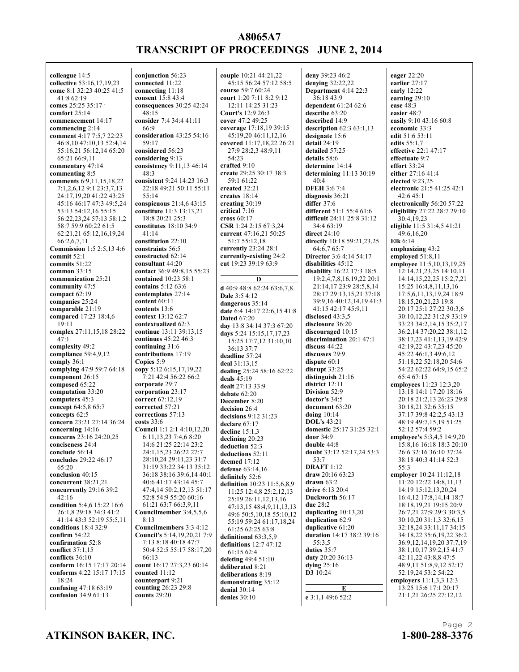**colleague** 14:5 **collective** 53:16,17,19,23 **come** 8:1 32:23 40:25 41:5 41:8 62:19 **comes** 25:25 35:17 **comfort** 25:14 **commencement** 14:17 **commencing** 2:14 **comment** 4:17 7:5,7 22:23 46:8,10 47:10,13 52:4,14 55:16,21 56:12,14 65:20 65:21 66:9,11 **commentary** 47:14 **commenting** 8:5 **comments** 6:9,11,15,18,22 7:1,2,6,12 9:1 23:3,7,13 24:17,19,20 41:22 43:25 45:16 46:17 47:3 49:5,24 53:13 54:12,16 55:15 56:22,23,24 57:13 58:1,2 58:7 59:9 60:22 61:5 62:21,21 65:12,16,19,24 66:2,6,7,11 **Commission** 1:5 2:5,13 4:6 **commit** 52:1 **commits** 51:22 **common** 33:15 **communication** 25:21 **community** 47:5 **compact** 62:19 **companies** 25:24 **comparable** 21:19 **compared** 17:23 18:4,6 19:11 **complex** 27:11,15,18 28:22  $47:1$ **complexity** 49:2 **compliance** 59:4,9,12 **comply** 36:1 **complying** 47:9 59:7 64:18 **component** 26:15 **composed** 65:22 **computation** 33:20 **computers** 45:3 **concept** 64:5,8 65:7 **concepts** 62:5 **concern** 23:21 27:14 36:24 **concerning** 14:16 **concerns** 23:16 24:20,25 **conciseness** 24:4 **conclude** 56:14 **concludes** 29:22 46:17 65:20 **conclusion** 40:15 **concurrent** 38:21,21 **concurrently** 29:16 39:2  $42:16$ **condition** 5:4,6 15:22 16:6 26:1,8 29:18 34:3 41:2 41:14 43:3 52:19 55:5,11 **conditions** 18:4 32:9 **confirm** 54:22 **confirmation** 52:8 **conflict** 37:1,15 **conflicts** 36:10 **conform** 16:15 17:17 20:14 **conforms** 4:22 15:17 17:15 18:24 **confusing** 47:18 63:19 **confusion** 34:9 61:13

**conjunction** 56:23 **connected** 11:22 **connecting** 11:18 **consent** 15:8 43:4 **consequences** 30:25 42:24  $48.15$ **consider** 7:4 34:4 41:11 66:9 **consideration** 43:25 54:16 59:17 **considered** 56:23 **considering** 9:13 **consistency** 9:11,13 46:14 48:3 **consistent** 9:24 14:23 16:3 22:18 49:21 50:11 55:11 55:14 **conspicuous** 21:4,6 43:15 **constitute** 11:3 13:13,21 18:8 20:21 25:3 **constitutes** 18:10 34:9 41:14 **constitution** 22:10 **constraints** 56:5 **constructed** 62:14 **consultant** 44:20 **contact** 36:9 49:8,15 55:23 **contained** 10:23 58:1 **contains** 5:12 63:6 **contemplates** 27:14 **content** 60:11 **contents** 13:6 **context** 13:12 62:7 **contextualized** 62:3 **continue** 13:11 39:13,15 **continues** 45:22 46:3 **continuing** 31:6 **contributions** 17:19 **Copies** 5:9 **copy** 5:12 6:15,17,19,22 7:21 42:4 56:22 66:2 **corporate** 29:7 **corporation** 23:17 **correct** 67:12,19 **corrected** 57:21 **corrections** 57:13 **costs** 33:6 **Council** 1:1 2:1 4:10,12,20 6:11,13,23 7:4,6 8:20 14:6 21:25 22:14 23:2 24:1,15,23 26:22 27:7 28:10,24 29:11,23 31:7 31:19 33:22 34:13 35:12 36:18 38:16 39:6,14 40:1 40:6 41:17 43:14 45:7 47:4,14 50:2,12,13 51:17 52:8 54:9 55:20 60:16 61:21 63:7 66:3,9,11 **Councilmember** 3:4,5,5,6 8:13 **Councilmembers** 3:3 4:12 **Council's** 5:14,19,20,21 7:9 7:13 8:18 40:18 47:7 50:4 52:5 55:17 58:17,20 66:13 **count** 16:17 27:3,23 60:14 **counted** 11:12 **counterpart** 9:21 **counting** 26:23 29:8 **counts** 29:20

**couple** 10:21 44:21,22 45:15 56:24 57:12 58:5 **course** 59:7 60:24 **court** 1:20 7:11 8:2 9:12 12:11 14:25 31:23 **Court's** 12:9 26:3 **cover** 47:2 49:25 **coverage** 17:18,19 39:15 45:19,20 46:11,12,16 **covered** 11:17,18,22 26:21 27:9 28:2,3 48:9,11 54:23 **crafted** 9:10 **create** 29:25 30:17 38:3 59:1 61:22 **created** 32:21 **creates** 18:14 **creating** 30:19 **critical** 7:16 **cross** 60:17 **CSR** 1:24 2:15 67:3,24 **current** 47:16,21 50:25 51:7 55:12,18 **currently** 23:24 28:1 **currently-existing** 24:2 **cut** 19:23 39:19 63:9 **D d** 40:9 48:8 62:24 63:6,7,8 **Dale** 3:5 4:12 **dangerous** 35:14 **date** 6:4 14:17 22:6,15 41:8 **Dated** 67:20 **day** 13:8 34:14 37:3 67:20 **days** 5:24 15:15,17,17,23 15:25 17:7,12 31:10,10 36:13 37:7 **deadline** 57:24 **deal** 31:13,15 **dealing** 25:24 58:16 62:22 **deals** 45:19 **dealt** 27:13 33:9 **debate** 62:20 **December** 8:20 **decision** 26:4 **decisions** 9:12 31:23 **declare** 67:17 **decline** 15:1,3 **declining** 20:23 **deduction** 52:3 **deductions** 52:11 **deemed** 17:12 **defense** 63:14,16 **definitely** 52:6 **definition** 10:23 11:5,6,8,9 11:25 12:4,8 25:2,12,13 25:19 26:11,12,13,16 47:13,15 48:4,9,11,13,13 49:6 50:5,10,18 55:10,12 55:19 59:24 61:17,18,24 61:25 62:25 63:8 **definitional** 63:3,5,9 **definitions** 12:7 47:12 61:15 62:4 **deleting** 49:4 51:10 **deliberated** 8:21 **deliberations** 8:19 **demonstrating** 35:12 **denial** 30:14 **denies** 30:10

**deny** 39:23 46:2 **denying** 32:22,22 **Department** 4:14 22:3 36:18 43:9 **dependent** 61:24 62:6 **describe** 63:20 **described** 14:9 **description** 62:3 63:1,13 **designate** 15:6 **detail** 24:19 **detailed** 57:25 **details** 58:6 **determine** 14:14 **determining** 11:13 30:19  $40.4$ **DFEH** 3:6 7:4 **diagnosis** 36:21 **differ** 37:6 **different** 51:1 55:4 61:6 **difficult** 24:11 25:8 31:12 34:4 63:19 **direct** 24:10 **directly** 10:18 59:21,23,25 64:6,7 65:7 **Director** 3:6 4:14 54:17 **disabilities** 45:12 **disability** 16:22 17:3 18:5 19:2,4,7,8,16,19,22 20:1 21:14,17 23:9 28:5,8,14 28:17 29:13,15,21 37:18 39:9,16 40:12,14,19 41:3 41:15 42:17 45:9,11 **disclosed** 43:3,5 **disclosure** 36:20 **discouraged** 10:15 **discrimination** 20:1 47:1 **discuss** 44:22 **discusses** 29:9 **dispute** 60:1 **disrupt** 33:25 **distinguish** 21:16 **district** 12:11 **Division** 52:9 **doctor's** 34:5 **document** 63:20 **doing** 10:14 **DOL's** 43:21 **domestic** 25:17 31:25 32:1 **door** 34:9 **double** 44:8 **doubt** 33:12 52:17,24 53:3 53:7 **DRAFT** 1:12 **draw** 20:16 63:23 **drawn** 63:2 **drive** 6:13 20:4 **Duckworth** 56:17 **due** 28:2 **duplicating** 10:13,20 **duplication** 62:9 **duplicative** 61:20 **duration** 14:17 38:2 39:16 55:3,5 **duties** 35:7 **duty** 20:20 36:13 **dying** 25:16 **D3** 10:24 **E e** 3:1,1 49:6 52:2

**eager** 22:20 **earlier** 27:17 **early** 12:22 **earning** 29:10 **ease** 48:3 **easier** 48:7 **easily** 9:10 43:16 60:8 **economic** 33:3 **edit** 51:6 53:11 **edits** 55:1,7 **effective** 22:1 47:17 **effectuate** 9:7 **effort** 33:24 **either** 27:16 41:4 **elected** 9:23,25 **electronic** 21:5 41:25 42:1 42:6 45:1 **electronically** 56:20 57:22 **eligibility** 27:22 28:7 29:10 30:4,19,23 **eligible** 11:5 31:4,5 41:21 49:6,16,20 **Elk** 6:14 **emphasizing** 43:2 **employed** 51:8,11 **employee** 11:5,10,13,19,25 12:14,21,23,25 14:10,11 14:14,15,22,25 15:2,7,21 15:25 16:4,8,11,13,16 17:5,6,11,13,19,24 18:9 18:15,20,21,23 19:8 20:17 25:1 27:22 30:3,6 30:10,12,22 31:2,9 33:19 33:23 34:2,14,15 35:2,17 36:2,14 37:20,22 38:1,12 38:17,23 41:1,13,19 42:9 42:19,22 43:7,23 45:20 45:22 46:1,3 49:6,12 51:18,22 52:18,20 54:6 54:22 62:22 64:9,15 65:2 65:4 67:15 **employees** 11:23 12:3,20 13:18 14:1 17:20 18:16 20:18 21:2,13 26:23 29:8 30:18,21 32:6 35:15 37:17 39:8 42:2,5 43:13 48:19 49:7,15,19 51:25 52:12 57:4 59:2 **employee's** 5:3,4,5 14:9,20 15:8,16 16:18 18:3 20:10 26:6 32:16 36:10 37:24 38:18 40:3 41:14 52:3 55:3 **employer** 10:24 11:12,18 11:20 12:22 14:8,11,13 14:19 15:12,13,20,24 16:4,12 17:8,14,14 18:7 18:18,19,21 19:15 20:9 26:7,21 27:9 29:3 30:3,5 30:10,20 31:1,3 32:6,15 32:18,24 33:11,17 34:15 34:18,22 35:6,19,22 36:2 36:9,12,14,19,20 37:7,19 38:1,10,17 39:2,15 41:7 42:11,22 43:8,8 47:5 48:9,11 51:8,9,12 52:17 52:19,24 53:2 54:22 **employers** 11:1,3,3 12:3 13:25 15:6 17:1 20:17 21:1,21 26:25 27:12,12

#### **ATKINSON BAKER, INC. 1-800-288-3376**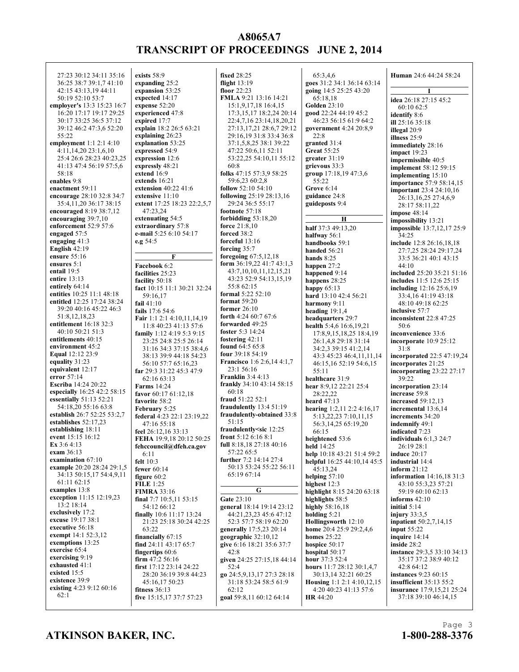27:23 30:12 34:11 35:16 36:25 38:7 39:1,7 41:10 42:15 43:13,19 44:11 50:19 52:10 53:7 **employer's** 13:3 15:23 16:7 16:20 17:17 19:17 29:25 30:17 33:25 36:5 37:12 39:12 46:2 47:3,6 52:20 55:22 **employment** 1:1 2:1 4:10 4:11,14,20 23:1,6,10 25:4 26:6 28:23 40:23,25 41:13 47:4 56:19 57:5,6 58:18 **enables** 9:8 **enactment** 59:11 **encourage** 28:10 32:8 34:7 35:4,11,20 36:17 38:15 **encouraged** 8:19 38:7,12 **encouraging** 39:7,10 **enforcement** 52:9 57:6 **engaged** 57:5 **engaging** 41:3 **English** 42:19 **ensure** 55:16 **ensures** 5:1 **entail** 19:5 **entire** 13:13 **entirely** 64:14 **entities** 10:25 11:1 48:18 **entitled** 12:25 17:24 38:24 39:20 40:16 45:22 46:3 51:8,12,18,23 **entitlement** 16:18 32:3 40:10 50:21 51:3 **entitlements** 40:15 **environment** 45:2 **Equal** 12:12 23:9 **equality** 31:23 **equivalent** 12:17 **error** 57:14 **Escriba** 14:24 20:22 **especially** 16:25 42:2 58:15 **essentially** 51:13 52:21 54:18,20 55:16 63:8 **establish** 26:7 52:25 53:2,7 **establishes** 52:17,23 **establishing** 18:11 **event** 15:15 16:12 **Ex** 3:6 4:13 **exam** 36:13 **examination** 67:10 **example** 20:20 28:24 29:1,5 34:13 50:15,17 54:4,9,11 61:11 62:15 **examples** 13:8 **exception** 11:15 12:19,23 13:2 18:14 **exclusively** 17:2 **excuse** 19:17 38:1 **executive** 56:18 **exempt** 14:1 52:3,12 **exemptions** 13:25 **exercise** 65:4 **exercising** 9:19 **exhausted** 41:1 **existed** 15:5 **existence** 39:9 **existing** 4:23 9:12 60:16 62:1

**exists** 58:9 **expanding** 25:2 **expansion** 53:25 **expected** 14:17 **expense** 52:20 **experienced** 47:8 **expired** 17:7 **explain** 18:2 26:5 63:21 **explaining** 26:23 **explanation** 53:25 **expressed** 54:9 **expression** 12:6 **expressly** 48:21 **extend** 16:9 **extends** 16:21 **extension** 40:22 41:6 **extensive** 11:10 **extent** 17:25 18:23 22:2,5,7 47:23,24 **extenuating** 54:5 **extraordinary** 57:8 **e-mail** 5:25 6:10 54:17 **e.g** 54:5 **F Facebook** 6:2 **facilities** 25:23 **facility** 50:18 **fact** 10:15 11:1 30:21 32:24 59:16,17 **fail** 41:10 **fails** 17:6 54:6 **Fair** 1:1 2:1 4:10,11,14,19 11:8 40:23 41:13 57:6 **family** 1:12 4:19 5:3 9:15 23:25 24:8 25:5 26:14 31:16 34:3 37:15 38:4,6 38:13 39:9 44:18 54:23 56:10 57:7 65:16,23 **far** 29:3 31:22 45:3 47:9 62:16 63:13 **Farms** 14:24 **favor** 60:17 61:12,18 **favorite** 58:2 **February** 5:25 **federal** 4:23 22:1 23:19,22 47:16 55:18 **feel** 26:12,16 33:13 **FEHA** 19:9,18 20:12 50:25 **fehccouncil@dfeh.ca.gov** 6:11 **felt** 10:3 **fewer** 60:14 **figure** 60:2 **FILE** 1:25 **FIMRA** 33:16 **final** 7:7 10:5,11 53:15 54:12 66:12 **finally** 10:6 11:17 13:24 21:23 25:18 30:24 42:25 63:22 **financially** 67:15 **find** 24:11 43:17 65:7 **fingertips** 60:6 **firm** 47:2 56:16 **first** 17:12 23:14 24:22 28:20 36:19 39:8 44:23 45:16,17 50:23 **fitness** 36:13 **five** 15:15,17 37:7 57:23

**fixed** 28:25 **flight** 13:19 **floor** 22:23 **FMLA** 9:21 13:16 14:21 15:1,9,17,18 16:4,15 17:3,15,17 18:2,24 20:14 22:4,7,16 23:14,18,20,21 27:13,17,21 28:6,7 29:12 29:16,19 31:8 33:4 36:8 37:1,5,8,25 38:1 39:22 47:22 50:6,11 52:11 53:22,25 54:10,11 55:12 60:8 **folks** 47:15 57:3,9 58:25 59:6,23 60:2,8 **follow** 52:10 54:10 **following** 25:19 28:13,16 29:24 36:5 55:17 **footnote** 57:18 **forbidding** 53:18,20 **force** 21:8,10 **forced** 38:2 **forceful** 13:16 **forcing** 35:7 **foregoing** 67:5,12,18 **form** 36:19,22 41:7 43:1,3 43:7,10,10,11,12,15,21 43:23 52:9 54:13,15,19 55:8 62:15 **formal** 5:22 52:10 **format** 59:20 **former** 26:10 **forth** 4:24 60:7 67:6 **forwarded** 49:25 **foster** 5:3 14:24 **fostering** 42:11 **found** 64:5 65:8 **four** 39:18 54:19 **Francisco** 1:6 2:6,14 4:1,7 23:1 56:16 **Franklin** 3:4 4:13 **frankly** 34:10 43:14 58:15 60:18 **fraud** 51:22 52:1 **fraudulently** 13:4 51:19 **fraudulently-obtained** 33:8 51:15 **fraudulently<sic** 12:25 **front** 5:12 6:16 8:1 **full** 8:18,18 27:18 40:16 57:22 65:5 **further** 7:2 14:14 27:4 50:13 53:24 55:22 56:11 65:19 67:14 **G Gate** 23:10 **general** 18:14 19:14 23:12 44:21,23,23 45:6 47:12 52:3 57:7 58:19 62:20 **generally** 17:5,23 20:14 **geographic** 32:10,12 **give** 6:16 18:21 35:6 37:7  $42.8$ **given** 24:25 27:15,18 44:14 52:4 **go** 24:5,9,13,17 27:3 28:18 31:18 53:24 58:5 61:9 62:12 **goal** 59:8,11 60:12 64:14

65:3,4,6 **goes** 31:2 34:1 36:14 63:14 **going** 14:5 25:25 43:20 65:18,18 **Golden** 23:10 **good** 22:24 44:19 45:2 46:23 56:15 61:9 64:2 **government** 4:24 20:8,9  $22.8$ **granted** 31:4 **Great** 55:25 **greater** 31:19 **grievous** 33:3 **group** 17:18,19 47:3,6 55:22 **Grove** 6:14 **guidance** 24:8 **guideposts** 9:4 **H half** 37:3 49:13,20 **halfway** 56:1 **handbooks** 59:1 **handed** 56:21 **hands** 8:25 **happen** 27:2 **happened** 9:14 **happens** 28:25 **happy** 65:13 **hard** 13:10 42:4 56:21 **harmony** 9:11 **heading** 19:1,4 **headquarters** 29:7 **health** 5:4,6 16:6,19,21 17:8,9,15,18,25 18:4,19 26:1,4,8 29:18 31:14 34:2,3 39:15 41:2,14 43:3 45:23 46:4,11,11,14 46:15,16 52:19 54:6,15 55:11 **healthcare** 31:9 **hear** 8:9,12 22:21 25:4 28:22,22 **heard** 47:13 **hearing** 1:2,11 2:2 4:16,17 5:13,22,23 7:10,11,15 56:3,14,25 65:19,20 66:15 **heightened** 53:6 **held** 14:25 **help** 10:18 43:21 51:4 59:2 **helpful** 16:25 44:10,14 45:5 45:13,24 **helping** 57:10 **highest** 12:3 **highlight** 8:15 24:20 63:18 **highlights** 58:5 **highly** 58:16,18 **holding** 5:21 **Hollingsworth** 12:10 **home** 20:4 25:9 29:2,4,6 **homes** 25:22 **hospice** 50:17 **hospital** 50:17 **hour** 37:3 52:4 **hours** 11:7 28:12 30:1,4,7 30:13,14 32:21 60:25 **Housing** 1:1 2:1 4:10,12,15 4:20 40:23 41:13 57:6 **HR** 44:20

**Human** 24:6 44:24 58:24 **I idea** 26:18 27:15 45:2 60:10 62:5 **identify** 8:6 **ill** 25:16 35:18 **illegal** 20:9 **illness** 25:9 **immediately** 28:16 **impact** 19:23 **impermissible** 40:5 **implement** 58:12 59:15 **implementing** 15:10 **importance** 57:9 58:14,15 **important** 23:4 24:10,16 26:13,16,25 27:4,6,9 28:17 58:11,22 **impose** 48:14 **impossibility** 13:21 **impossible** 13:7,12,17 25:9 34:25 **include** 12:8 26:16,18,18 27:7,25 28:24 29:17,24 33:5 36:21 40:1 43:15  $44 \cdot 10$ **included** 25:20 35:21 51:16 **includes** 11:5 12:6 25:15 **including** 12:16 25:6,19 33:4,16 41:19 43:18 48:10 49:18 62:25 **inclusive** 57:7 **inconsistent** 22:8 47:25 50:6 **inconvenience** 33:6 **incorporate** 10:9 25:12  $31.8$ **incorporated** 22:5 47:19,24 **incorporates** 21:25 **incorporating** 23:22 27:17 39:22 **incorporation** 23:14 **increase** 59:8 **increased** 59:12,13 **incremental** 13:6,14 **increments** 34:20 **indemnify** 49:1 **indicated** 7:23 **individuals** 6:1,3 24:7 26:19 28:1 **induce** 20:17 **industrial** 14:4 **inform** 21:12 **information** 14:16,18 31:3 43:10 55:3,23 57:21 59:19 60:10 62:13 **informs** 42:10 **initial** 5:14 **injury** 33:3,5 **inpatient** 50:2,7,14,15 **input** 55:22 **inquire** 14:14 **inside** 28:2 **instance** 29:3,5 33:10 34:13 35:17 37:2 38:9 40:12 42:8 64:12 **instances** 9:23 60:15 **insufficient** 35:13 55:2 **insurance** 17:9,15,21 25:24 37:18 39:10 46:14,15

#### **ATKINSON BAKER, INC. 1-800-288-3376**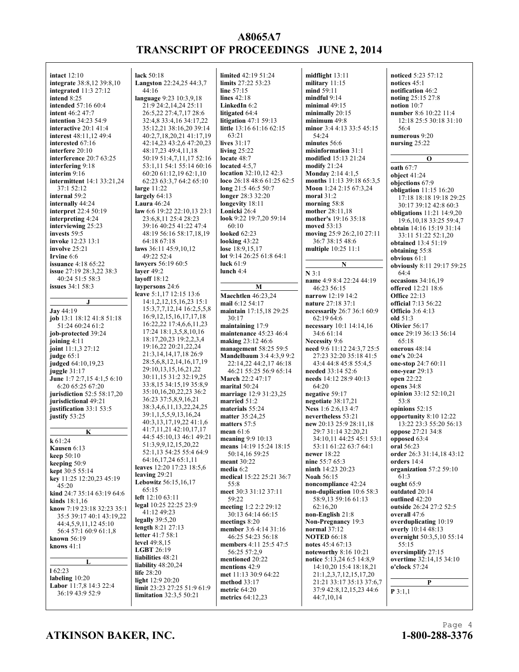**intact** 12:10 **integrate** 38:8,12 39:8,10 **integrated** 11:3 27:12 **intend** 8:25 **intended** 57:16 60:4 **intent** 46:2 47:7 **intention** 34:23 54:9 **interactive** 20:1 41:4 **interest** 48:11,12 49:4 **interested** 67:16 **interfere** 20:10 **interference** 20:7 63:25 **interfering** 9:18 **interim** 9:16 **intermittent** 14:1 33:21,24 37:1 52:12 **internal** 59:2 **internally** 44:24 **interpret** 22:4 50:19 **interpreting** 4:24 **interviewing** 25:23 **invests** 59:5 **invoke** 12:23 13:1 **involve** 25:21 **Irvine** 6:6 **issuance** 4:18 65:22 **issue** 27:19 28:3,22 38:3 40:24 51:5 58:3 **issues** 34:1 58:3 **J Jay** 44:19

**job** 13:1 18:12 41:8 51:18 51:24 60:24 61:2 **job-protected** 39:24 **joining** 4:11 **joint** 11:1,3 27:12 **judge** 65:1 **judged** 64:10,19,23 **juggle** 31:17 **June** 1:7 2:7,15 4:1,5 6:10 6:20 65:25 67:20 **jurisdiction** 52:5 58:17,20 **jurisdictional** 49:21 **justification** 33:1 53:5 **justify** 53:25

**K k** 61:24 **Kausen** 6:13 **keep** 50:10 **keeping** 50:9 **kept** 30:5 55:14 **key** 11:25 12:20,23 45:19  $45:20$ **kind** 24:7 35:14 63:19 64:6 **kinds** 18:1,16 **know** 7:19 23:18 32:23 35:1 35:5 39:17 40:1 43:19,22 44:4,5,9,11,12 45:10 56:4 57:1 60:9 61:1,8 **known** 56:19 **knows** 41:1 **L**

**l** 62:23 **labeling** 10:20 **Labor** 11:7,8 14:3 22:4 36:19 43:9 52:9

**lack** 50:18 **Langston** 22:24,25 44:3,7 44:16 **language** 9:23 10:3,9,18 21:9 24:2,14,24 25:11 26:5,22 27:4,7,17 28:6 32:4,8 33:4,16 34:17,22 35:12,21 38:16,20 39:14 40:2,7,18,20,21 41:17,19 42:14,23 43:2,6 47:20,23 48:17,23 49:4,11,18 50:19 51:4,7,11,17 52:16 53:1,11 54:1 55:14 60:16  $60:20.61:12.19.62:1,10$ 62:23 63:3,7 64:2 65:10 **large** 11:22 **largely** 64:13 **Laura** 46:24 **law** 6:6 19:22 22:10,13 23:1 23:6,8,11 25:4 28:23 39:16 40:25 41:22 47:4 48:19 56:16 58:17,18,19 64:18 67:18 **laws** 36:11 45:9,10,12  $49.22524$ **lawyers** 56:19 60:5 **layer** 49:2 **layoff** 18:12 **laypersons** 24:6 **leave** 5:1,17 12:15 13:6 14:1,2,12,15,16,23 15:1 15:3,7,7,12,14 16:2,5,5,8 16:9,12,15,16,17,17,18 16:22,22 17:4,6,6,11,23 17:24 18:1,3,5,8,10,16 18:17,20,23 19:2,2,3,4 19:16,22 20:21,22,24 21:3,14,14,17,18 26:9 28:5,6,8,12,14,16,17,19 29:10,13,15,16,21,22 30:11,15 31:2 32:19,25 33:8,15 34:15,19 35:8,9 35:10,16,20,22,23 36:2 36:23 37:5,8,9,16,21 38:3,4,6,11,13,22,24,25 39:1,1,5,5,9,13,16,24 40:3,13,17,19,22 41:1,6 41:7,11,21 42:10,17,17 44:5 45:10,13 46:1 49:21 51:3,9,9,12,15,20,22 52:1,13 54:25 55:4 64:9 64:16,17,24 65:1,11 **leaves** 12:20 17:23 18:5,6 **leaving** 29:21 **Lebowitz** 56:15,16,17 65:15 **left** 12:10 63:11 **legal** 10:25 22:25 23:9 41:12 49:23 **legally** 39:5,20 **length** 8:21 27:13 **letter** 41:7 58:1 **level** 49:8,15 **LGBT** 26:19 **liabilities** 48:21 **liability** 48:20,24 **life** 28:20 **light** 12:9 20:20 **limit** 23:23 27:25 51:9 61:9 **limitation** 32:3,5 50:21

**limited** 42:19 51:24 **limits** 27:22 53:23 **line** 57:15 **lines** 42:18 **LinkedIn** 6:2 **litigated** 64:4 **litigation** 47:1 59:13 **little** 13:16 61:16 62:15 63:21 **lives** 31:17 **living** 25:22 **locate** 48:7 **located** 4:5,7 **location** 32:10,12 42:3 **loco** 26:18 48:6 61:25 62:5 **long** 21:5 46:5 50:7 **longer** 28:3 32:20 **longevity** 18:11 **Lonicki** 26:4 **look** 9:22 19:7,20 59:14 60:10 **looked** 62:23 **looking** 43:22 **lose** 18:9,15,17 **lot** 9:14 26:25 61:8 64:1 **luck** 61:9 **lunch** 4:4 **M Maechtlen** 46:23,24 **mail** 6:12 54:17 **maintain** 17:15,18 29:25 30:17 **maintaining** 17:9 **maintenance** 45:23 46:4 **making** 23:12 46:6 **management** 58:25 59:5 **Mandelbaum** 3:4 4:3,9 9:2 22:14,22 44:2,17 46:18 46:21 55:25 56:9 65:14 **March** 22:2 47:17 **marital** 50:24 **marriage** 12:9 31:23,25 **married** 51:2 **materials** 55:24 **matter** 35:24,25 **matters** 57:5 **mean** 61:6 **meaning** 9:9 10:13 **means** 14:19 15:24 18:15 50:14,16 59:25 **meant** 30:22 **media** 6:2 **medical** 15:22 25:21 36:7 55:8 **meet** 30:3 31:12 37:11 59:22 **meeting** 1:2 2:2 29:12 30:13 64:14 66:15 **meetings** 8:20 **member** 3:6 4:14 31:16 46:25 54:23 56:18 **members** 4:11 25:5 47:5 56:25 57:2,9 **mentioned** 20:22 **mentions** 42:9 **met** 11:13 30:9 64:22 **method** 33:17 **metric** 64:20 **metrics** 64:12,23

**midflight** 13:11 **military** 11:15 **mind** 59:11 **mindful** 9:14 **minimal** 49:15 **minimally** 20:15 **minimum** 49:8 **minor** 3:4 4:13 33:5 45:15 54:24 **minutes** 56:6 **misinformation** 31:1 **modified** 15:13 21:24 **modify** 21:24 **Monday** 2:14 4:1,5 **months** 11:13 39:18 65:3,5 **Moon** 1:24 2:15 67:3,24 **moral** 31:2 **morning** 58:8 **mother** 28:11,18 **mother's** 19:16 35:18 **moved** 53:13 **moving** 25:9 26:2,10 27:11 36:7 38:15 48:6 **multiple** 10:25 11:1 **N N** 3:1 **name** 4:9 8:4 22:24 44:19 46:23 56:15 **narrow** 12:19 14:2 **nature** 27:18 37:1 **necessarily** 26:7 36:1 60:9 62:19 64:6 **necessary** 10:1 14:14,16 34:6 61:14 **Necessity** 9:6 **need** 9:6 11:12 24:3,7 25:5 27:23 32:20 35:18 41:5 43:4 44:8 45:8 55:4,5 **needed** 33:14 52:6 **needs** 14:12 28:9 40:13 64:20 **negative** 59:17 **negotiate** 38:17,21 **Ness** 1:6 2:6,13 4:7 **nevertheless** 53:21 **new** 20:13 25:9 28:11,18 29:7 31:14 32:20,21 34:10,11 44:25 45:1 53:1 53:11 61:22 63:7 64:1 **newer** 18:22 **nine** 55:7 65:3 **ninth** 14:23 20:23 **Noah** 56:15 **noncompliance** 42:24 **non-duplication** 10:6 58:3 58:9,13 59:16 61:13 62:16,20 **non-English** 21:8 **Non-Pregnancy** 19:3 **normal** 37:12 **NOTED** 66:18 **notes** 45:4 67:13 **noteworthy** 8:16 10:21 **notice** 5:13,24 6:5 14:8,9 14:10,20 15:4 18:18,21 21:1,2,3,7,12,15,17,20 21:21 33:17 35:13 37:6,7 37:9 42:8,12,15,23 44:6

44:7,10,14

**noticed** 5:23 57:12 **notices** 45:1 **notification** 46:2 **noting** 25:15 27:8 **notion** 10:7 **number** 8:6 10:22 11:4 12:18 25:5 30:18 31:10 56:4 **numerous** 9:20 **nursing** 25:22 **O oath** 67:7 **object** 41:24 **objections** 67:9 **obligation** 11:15 16:20 17:18 18:18 19:18 29:25 30:17 39:12 42:8 60:3 **obligations** 11:21 14:9,20 19:6,10,18 33:25 59:4,7 **obtain** 14:16 15:19 31:14 33:11 51:22 52:1,20 **obtained** 13:4 51:19 **obtaining** 55:8 **obvious** 61:1 **obviously** 8:11 29:17 59:25 64:4 **occasions** 34:16,19 **offered** 12:21 18:6 **Office** 22:13 **official** 7:13 56:22 **Officio** 3:6 4:13 **old** 51:3 **Olivier** 56:17 **once** 29:19 36:13 56:14 65:18 **onerous** 48:14 **one's** 20:24 **one-stop** 24:7 60:11 **one-year** 29:13 **open** 22:22 **opens** 34:8 **opinion** 33:12 52:10,21 53:8 **opinions** 52:15 **opportunity** 8:10 12:22 13:22 23:3 55:20 56:13 **oppose** 27:21 34:8 **opposed** 63:4 **oral** 56:23 **order** 26:3 31:14,18 43:12 **orders** 14:4 **organization** 57:2 59:10 61:3 **ought** 65:9 **outdated** 20:14 **outlined** 42:20 **outside** 26:24 27:2 52:5 **overall** 47:6 **overduplicating** 10:19 **overly** 10:14 48:13 **overnight** 50:3,5,10 55:14 55:15 **oversimplify** 27:15 **overtime** 32:14,15 34:10 **o'clock** 57:24 **P P** 3:1,1

**ATKINSON BAKER, INC. 1-800-288-3376**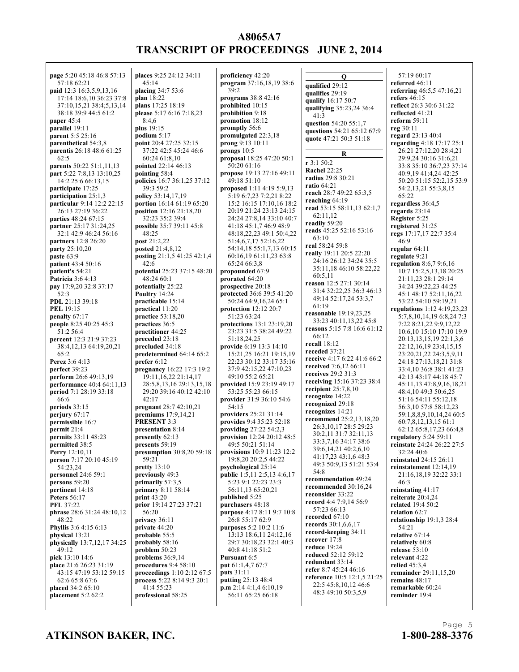**page** 5:20 45:18 46:8 57:13 57:18 62:21 **paid** 12:3 16:3,5,9,13,16 17:14 18:6,10 36:23 37:8 37:10,15,21 38:4,5,13,14 38:18 39:9 44:5 61:2 **paper** 45:4 **parallel** 19:11 **parent** 5:5 25:16 **parenthetical** 54:3,8 **parentis** 26:18 48:6 61:25  $62.5$ **parents** 50:22 51:1,11,13 **part** 5:22 7:8,13 13:10,25 14:2 25:6 66:13,15 **participate** 17:25 **participation** 25:1,3 **particular** 9:14 12:2 22:15 26:13 27:19 36:22 **parties** 48:24 67:15 **partner** 25:17 31:24,25 32:1 42:9 46:24 56:16 **partners** 12:8 26:20 **party** 25:10,20 **paste** 63:9 **patient** 43:4 50:16 **patient's** 54:21 **Patricia** 3:6 4:13 **pay** 17:9,20 32:8 37:17 52:3 **PDL** 21:13 39:18 **PEL** 19:15 **penalty** 67:17 **people** 8:25 40:25 45:3 51:2 56:4 **percent** 12:3 21:9 37:23 38:4,12,13 64:19,20,21 65:2 **Perez** 3:6 4:13 **perfect** 39:23 **perform** 26:6 49:13,19 **performance** 40:4 64:11,13 **period** 7:1 28:19 33:18 66:6 **periods** 33:15 **perjury** 67:17 **permissible** 16:7 **permit** 21:4 **permits** 33:11 48:23 **permitted** 38:5 **Perry** 12:10,11 **person** 7:17 20:10 45:19 54:23,24 **personnel** 24:6 59:1 **persons** 59:20 **pertinent** 14:18 **Peters** 56:17 **PFL** 37:22 **phrase** 28:6 31:24 48:10,12 48:22 **Phyllis** 3:6 4:15 6:13 **physical** 13:21 **physically** 13:7,12,17 34:25  $49.12$ **pick** 13:10 14:6 **place** 21:6 26:23 31:19 43:15 47:19 53:12 59:15 62:6 65:8 67:6 **placed** 34:2 65:10 **placement** 5:2 62:2

**places** 9:25 24:12 34:11  $45.14$ **placing** 34:7 53:6 **plan** 18:22 **plans** 17:25 18:19 **please** 5:17 6:16 7:18,23  $8.46$ **plus** 19:15 **podium** 5:17 **point** 20:4 27:25 32:15 37:22 42:5 45:24 46:6 60:24 61:8,10 **pointed** 22:14 46:13 **pointing** 58:4 **policies** 16:7 36:1,25 37:12 39:3 59:2 **policy** 53:14,17,19 **portion** 16:14 61:19 65:20 **position** 12:16 21:18,20 32:23 35:2 39:4 **possible** 35:7 39:11 45:8 48:25 **post** 21:2,22 **posted** 21:4,8,12 **posting** 21:1,5 41:25 42:1,4 42:6 **potential** 25:23 37:15 48:20 48:24 60:1 **potentially** 25:22 **Poultry** 14:24 **practicable** 15:14 **practical** 11:20 **practice** 53:18,20 **practices** 36:5 **practitioner** 44:25 **preceded** 23:18 **precluded** 34:18 **predetermined** 64:14 65:2 **prefer** 6:12 **pregnancy** 16:22 17:3 19:2 19:11,16,22 21:14,17 28:5,8,13,16 29:13,15,18 29:20 39:16 40:12 42:10 42:17 **pregnant** 28:7 42:10,21 **premiums** 17:9,14,21 **PRESENT** 3:3 **presentation** 8:14 **presently** 62:13 **presents** 59:19 **presumption** 30:8,20 59:18 59:21 **pretty** 13:10 **previously** 49:3 **primarily** 57:3,5 **primary** 8:11 58:14 **print** 43:20 **prior** 19:14 27:23 37:21 56:20 **privacy** 36:11 **private** 44:20 **probable** 55:5 **probably** 58:16 **problem** 50:23 **problems** 36:9,14 **procedures** 9:4 58:10 **proceedings** 1:10 2:12 67:5 **process** 5:22 8:14 9:3 20:1 41:4 55:23 **professional** 58:25

**proficiency** 42:20 **program** 37:16,18,19 38:6 39:2 **programs** 38:8 42:16 **prohibited** 10:15 **prohibition** 9:18 **promotion** 18:12 **promptly** 56:6 **promulgated** 22:3,18 **prong** 9:13 10:11 **prongs** 10:5 **proposal** 18:25 47:20 50:1 50:20 61:16 **propose** 19:13 27:16 49:11 49:18 51:10 **proposed** 1:11 4:19 5:9,13 5:19 6:7,23 7:2,21 8:22 15:2 16:15 17:10,16 18:2 20:19 21:24 23:13 24:15 24:24 27:8,14 33:10 40:7 41:18 45:1,7 46:9 48:9 48:18,22,23 49:1 50:4,22 51:4,6,7,17 52:16,22 54:14,18 55:1,7,13 60:15 60:16,19 61:11,23 63:8 65:24 66:3,8 **propounded** 67:9 **prorated** 64:20 **prospective** 20:18 **protected** 36:6 39:5 41:20 50:24 64:9,16,24 65:1 **protection** 12:12 20:7 51:23 63:24 **protections** 13:1 23:19,20 23:23 31:5 38:24 49:22 51:18,24,25 **provide** 6:19 13:3 14:10 15:21,25 16:21 19:15,19 22:23 30:12 33:17 35:16 37:9 42:15,22 47:10,23 49:10 55:2 65:21 **provided** 15:9 23:19 49:17 53:25 55:23 66:15 **provider** 31:9 36:10 54:6 54:15 **providers** 25:21 31:14 **provides** 9:4 35:23 52:18 **providing** 27:22 54:2,3 **provision** 12:24 20:12 48:5 49:5 50:21 51:14 **provisions** 10:9 11:23 12:2 19:8,20 20:2,5 44:22 **psychological** 25:14 **public** 1:5,11 2:5,13 4:6,17 5:23 9:1 22:23 23:3 56:11,13 65:20,21 **published** 5:25 **purchasers** 48:18 **purpose** 4:17 8:11 9:7 10:8 26:8 55:17 62:9 **purposes** 5:2 10:2 11:6 13:13 18:6,11 24:12,16 29:7 30:18,23 32:1 40:3 40:8 41:18 51:2 **Pursuant** 6:5 **put** 61:1,4,7 67:7 **puts** 31:11 **putting** 25:13 48:4 **p.m** 2:14 4:1,4 6:10,19 56:11 65:25 66:18

**Q qualified** 29:12 **qualifies** 29:19 **qualify** 16:17 50:7 **qualifying** 35:23,24 36:4 41:3 **question** 54:20 55:1,7 **questions** 54:21 65:12 67:9 **quote** 47:21 50:3 51:18 **R r** 3:1 50:2 **Rachel** 22:25 **radius** 29:8 30:21 **ratio** 64:21 **reach** 28:7 49:22 65:3,5 **reaching** 64:19 **read** 53:15 58:11,13 62:1,7 62:11,12 **readily** 59:20 **reads** 45:25 52:16 53:16 63:10 **real** 58:24 59:8 **really** 19:11 20:5 22:20 24:16 26:12 34:24 35:5 35:11,18 46:10 58:22,22 60:5,11 **reason** 12:5 27:1 30:14 31:4 32:22,25 36:3 46:13 49:14 52:17,24 53:3,7 61:19 **reasonable** 19:19,23,25 33:23 40:11,13,22 45:8 **reasons** 5:15 7:8 16:6 61:12 66:12 **recall** 18:12 **receded** 37:21 **receive** 4:17 6:22 41:6 66:2 **received** 7:6,12 66:11 **receives** 29:2 31:3 **receiving** 15:16 37:23 38:4 **recipient** 25:7,8,10 **recognize** 14:22 **recognized** 29:18 **recognizes** 14:21 **recommend** 25:2,13,18,20 26:3,10,17 28:5 29:23 30:2,11 31:7 32:11,13 33:3,7,16 34:17 38:6 39:6,14,21 40:2,6,10 41:17,23 43:1,6 48:3 49:3 50:9,13 51:21 53:4 54:8 **recommendation** 49:24 **recommended** 30:16,24 **reconsider** 33:22 **record** 4:4 7:9,14 56:9 57:23 66:13 **recorded** 67:10 **records** 30:1,6,6,17 **record-keeping** 34:11 **recover** 17:8 **reduce** 19:24 **reduced** 52:12 59:12 **redundant** 33:14 **refer** 8:7 45:24 46:16 **reference** 10:5 12:1,5 21:25 22:5 45:8,10,12 46:6 48:3 49:10 50:3,5,9

57:19 60:17 **referred** 46:11 **referring** 46:5,5 47:16,21 **refers** 46:15 **reflect** 26:3 30:6 31:22 **reflected** 41:21 **reform** 59:11 **reg** 30:11 **regard** 23:13 40:4 **regarding** 4:18 17:17 25:1 26:21 27:12,20 28:4,21 29:9,24 30:16 31:6,21 33:8 35:10 36:7,23 37:14 40:9,19 41:4,24 42:25 50:20 51:15 52:2,15 53:9 54:2,13,21 55:3,8,15 65:22 **regardless** 36:4,5 **regards** 23:14 **Register** 5:25 **registered** 31:25 **regs** 17:17,17 22:7 35:4 46:9 **regular** 64:11 **regulate** 9:21 **regulation** 8:6,7 9:6,16 10:7 15:2,5,13,18 20:25 21:11,23 28:1 29:14 34:24 39:22,23 44:25 45:1 48:17 52:11,16,22 53:22 54:10 59:19,21 **regulations** 1:12 4:19,23,23 5:7,8,10,14,19 6:8,24 7:3 7:22 8:21,22 9:9,12,22 10:6,10 15:10 17:10 19:9 20:13,13,15,19 22:1,3,6 22:12,16,19 23:4,15,15 23:20,21,22 24:3,5,9,11 24:18 27:13,18,21 31:8 33:4,10 36:8 38:1 41:23 42:13 43:17 44:18 45:7 45:11,13 47:8,9,16,18,21 48:4,10 49:3 50:6,25 51:16 54:11 55:12,18 56:3,10 57:8 58:12,23 59:1,8,8,9,10,14,24 60:5 60:7,8,12,13,15 61:1 62:12 65:8,17,23 66:4,8 **regulatory** 5:24 59:11 **reinstate** 24:24 26:22 27:5 32:24 40:6 **reinstated** 24:15 26:11 **reinstatement** 12:14,19 21:16,18,19 32:22 33:1 46:3 **reinstating** 41:17 **reiterate** 20:4,24 **related** 19:4 50:2 **relation** 62:7 **relationship** 19:1,3 28:4 54:21 **relative** 67:14 **relatively** 60:8 **release** 53:10 **relevant** 4:22 **relied** 45:3,4 **remainder** 29:11,15,20 **remains** 48:17 **remarkable** 60:24

**ATKINSON BAKER, INC. 1-800-288-3376**

**reminder** 19:4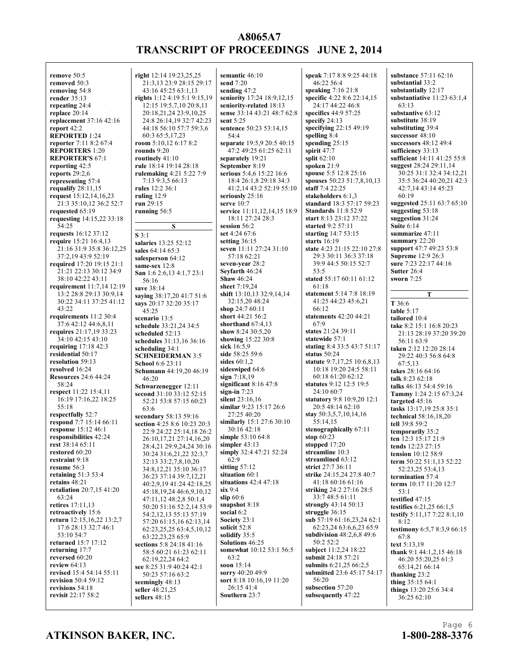**semantic** 46:10 **send** 7:20

**remove** 50:5 **removed** 50:3 **removing** 54:8 **render** 35:13 **repeating** 24:4 **replace** 20:14 **replacement** 37:16 42:16 **report** 42:2 **REPORTED** 1:24 **reporter** 7:11 8:2 67:4 **REPORTERS** 1:20 **REPORTER'S** 67:1 **reporting** 42:5 **reports** 29:2,6 **representing** 57:4 **requalify** 28:11,15 **request** 15:12,14,16,23 21:3 35:10,12 36:2 52:7 **requested** 65:19 **requesting** 14:15,22 33:18 54:25 **requests** 16:12 37:12 **require** 15:21 16:4,13 21:16 31:9 35:8 36:12,25 37:2,19 43:9 52:19 **required** 17:20 19:15 21:1 21:21 22:13 30:12 34:9 38:10 42:22 43:11 **requirement** 11:7,14 12:19 13:2 28:8 29:13 30:9,14 30:22 34:11 37:25 41:12 43:22 **requirements** 11:2 30:4 37:6 42:12 44:6,8,11 **requires** 21:17,19 33:23 34:10 42:15 43:10 **requiring** 17:18 42:3 **residential** 50:17 **resolution** 59:13 **resolved** 16:24 **Resources** 24:6 44:24 58:24 **respect** 11:22 15:4,11 16:19 17:16,22 18:25 55:18 **respectfully** 52:7 **respond** 7:7 15:14 66:11 **response** 15:12 46:1 **responsibilities** 42:24 **rest** 38:14 65:11 **restored** 60:20 **restraint** 9:18 **resume** 56:3 **retaining** 51:3 53:4 **retains** 48:21 **retaliation** 20:7,15 41:20 63:24 **retires** 17:11,13 **retroactively** 15:6 **return** 12:15,16,22 13:2,7 17:6 28:13 32:7 46:1 53:10 54:7 **returned** 15:7 17:12 **returning** 17:7 **reversed** 60:20 **review** 64:13 **revised** 15:4 54:14 55:11 **revision** 50:4 59:12 **revisions** 54:18 **revisit** 22:17 58:2

**right** 12:14 19:23,25,25 21:3,13 23:9 28:15 29:17 43:16 45:25 63:1,13 **rights** 1:12 4:19 5:1 9:15,19 12:15 19:5,7,10 20:8,11 20:18,21,24 23:9,10,25 24:8 26:14,19 32:7 42:23 44:18 56:10 57:7 59:3,6 60:3 65:5,17,23 **room** 5:10,12 6:17 8:2 **rounds** 9:20 **routinely** 41:10 **rule** 18:14 19:14 28:18 **rulemaking** 4:21 5:22 7:9 7:13 9:3,5 66:13 **rules** 12:2 36:1 **ruling** 12:9 **run** 29:15 **running** 56:5 **S S** 3:1 **salaries** 13:25 52:12 **sales** 64:14 65:3 **salesperson** 64:12 **same-sex** 12:8 **San** 1:6 2:6,13 4:1,7 23:1 56:16 **save** 38:14 **saying** 38:17,20 41:7 51:6 **says** 20:17 32:20 35:17 45:25 **scenario** 13:5 **schedule** 33:21,24 34:5 **scheduled** 52:13 **schedules** 31:13,16 36:16 **scheduling** 34:1 **SCHNEIDERMAN** 3:5 **School** 6:6 23:11

**Schumann** 44:19,20 46:19

**Schwarzenegger** 12:11 **second** 31:10 33:12 52:15 52:21 53:8 57:15 60:23

**secondary** 58:13 59:16 **section** 4:25 8:6 10:23 20:3 22:9 24:22 25:14,18 26:2 26:10,17,21 27:14,16,20 28:4,21 29:9,24,24 30:16 30:24 31:6,21,22 32:3,7 32:13 33:2,7,8,10,20 34:8,12,21 35:10 36:17 36:23 37:14 39:7,12,21 40:2,9,19 41:24 42:18,25 45:18,19,24 46:6,9,10,12 47:11,12 48:2,8 50:1,4 50:20 51:16 52:2,14 53:9 54:2,12,13 55:13 57:19 57:20 61:15,16 62:13,14 62:23,25,25 63:4,5,10,12 63:22,23,25 65:9 **sections** 5:8 24:18 41:16 58:5 60:21 61:23 62:11 62:19,22,24 64:2 **see** 8:25 31:9 40:24 42:1 50:23 57:16 63:2 **seemingly** 48:13 **seller** 48:21,25 **sellers** 48:15

46:20

63:6

**sending** 47:2 **seniority** 17:24 18:9,12,15 **seniority-related** 18:13 **sense** 33:14 43:21 48:7 62:8 **sent** 5:25 **sentence** 50:23 53:14,15 54:4 **separate** 19:5,9 20:5 40:15 47:2 49:25 61:25 62:11 **separately** 19:21 **September** 8:19 **serious** 5:4,6 15:22 16:6 18:4 26:1,8 29:18 34:3 41:2,14 43:2 52:19 55:10 **seriously** 25:16 **serve** 10:7 **service** 11:11,12,14,15 18:9 18:11 27:24 28:3 **session** 56:2 **set** 4:24 67:6 **setting** 36:15 **seven** 11:11 27:24 31:10 57:18 62:21 **seven-year** 28:2 **Seyfarth** 46:24 **Shaw** 46:24 **sheet** 7:19,24 **shift** 13:10,13 32:9,14,14 32:15,20 48:24 **shop** 24:7 60:11 **short** 44:21 56:2 **shorthand** 67:4,13 **show** 8:24 30:5,20 **showing** 15:22 30:8 **sick** 16:5,9 **side** 58:25 59:6 **sides** 60:1,2 **sideswiped** 64:6 **sign** 7:18,19 **significant** 8:16 47:8 **sign-in** 7:23 **silent** 23:16,16 **similar** 9:23 15:17 26:6 27:25 40:20 **similarly** 15:1 27:6 30:10 30:16 42:18 **simple** 53:10 64:8 **simpler** 43:13 **simply** 32:4 47:21 52:24 62:9 **sitting** 57:12 **situation** 60:1 **situations** 42:4 47:18 **six** 9:4 **slip** 60:6 **snapshot** 8:18 **social** 6:2 **Society** 23:1 **solicit** 52:8 **solidify** 35:5 **Solutions** 46:25 **somewhat** 10:12 53:1 56:5 63:2 **soon** 15:14 **sorry** 40:20 49:9 **sort** 8:18 10:16,19 11:20 26:15 41:4 **Southern** 23:7

**speak** 7:17 8:8 9:25 44:18 46:22 56:4 **speaking** 7:16 21:8 **specific** 4:22 8:6 22:14,15 24:17 44:22 46:8 **specifics** 44:9 57:25 **specify** 24:13 **specifying** 22:15 49:19 **spelling** 8:4 **spending** 25:15 **spirit** 47:7 **split** 62:10 **spoken** 21:9 **spouse** 5:5 12:8 25:16 **spouses** 50:23 51:7,8,10,13 **staff** 7:4 22:25 **stakeholders** 6:1,3 **standard** 18:3 57:17 59:23 **Standards** 11:8 52:9 **start** 8:13 23:12 37:22 **started** 9:2 57:11 **starting** 14:7 53:15 **starts** 16:19 **state** 4:23 21:15 22:10 27:8 29:3 30:11 36:3 37:18 39:9 44:5 50:15 52:7 53:5 **stated** 55:17 60:11 61:12 61:18 **statement** 5:14 7:8 18:19 41:25 44:23 45:6,21 66:12 **statements** 42:20 44:21 67:9 **states** 21:24 39:11 **statewide** 57:1 **stating** 8:4 33:5 43:7 51:17 **status** 50:24 **statute** 9:7,17,25 10:6,8,13 10:18 19:20 24:5 58:11 60:18 61:20 62:12 **statutes** 9:12 12:5 19:5 24:10 60:7 **statutory** 9:8 10:9,20 12:1 20:5 48:14 62:10 **stay** 50:3,5,7,10,14,16 55:14,15 **stenographically** 67:11 **stop** 60:23 **stopped** 17:20 **streamline** 10:3 **streamlined** 63:12 **strict** 27:7 36:11 **strike** 24:15,24 27:8 40:7 41:18 60:16 61:16 **striking** 24:2 27:16 28:5 33:7 48:5 61:11 **strongly** 43:14 50:13 **struggle** 36:15 **sub** 57:19 61:16,23,24 62:1 62:23,24 63:6,6,23 65:9 **subdivision** 48:2,6,8 49:6 50:2 52:2 **subject** 11:2,24 18:22 **submit** 24:18 57:21 **submits** 6:21,25 66:2,5 **submitted** 23:6 45:17 54:17 56:20 **subsection** 57:20 **subsequently** 47:22

**substance** 57:11 62:16 **substantial** 33:2 **substantially** 12:17 **substantiative** 11:23 63:1,4 63:13 **substantive** 63:12 **substitute** 38:19 **substituting** 39:4 **successor** 48:10 **successors** 48:12 49:4 **sufficiency** 33:13 **sufficient** 14:11 41:25 55:8 **suggest** 28:24 29:11,14 30:25 31:1 32:4 34:12,21 35:5 36:24 40:20,21 42:3 42:7,14 43:14 45:23 60:19 **suggested** 25:11 63:7 65:10 **suggesting** 53:18 **suggestion** 31:24 **Suite** 6:14 **summarize** 47:11 **summary** 22:20 **support** 47:7 49:23 53:8 **Supreme** 12:9 26:3 **sure** 7:23 22:17 44:16 **Sutter** 26:4 **sworn** 7:25 **T T** 36:6 **table** 5:17 **tailored** 10:4 **take** 8:2 15:1 16:8 20:23 21:13 28:19 37:20 39:20 56:11 63:9 **taken** 2:12 12:20 28:14 29:22 40:3 56:8 64:8 67:5,13 **takes** 28:16 64:16 **talk** 8:23 62:18

**talks** 46:13 54:4 59:16 **Tammy** 1:24 2:15 67:3,24 **targeted** 45:16 **tasks** 13:17,19 25:8 35:1 **technical** 58:16,18,20 **tell** 39:8 59:2 **temporarily** 35:2 **ten** 12:3 15:17 21:9 **tends** 12:23 27:15 **tension** 10:12 58:9 **term** 50:22 51:1,13 52:22 52:23,25 53:4,13 **termination** 57:4 **terms** 10:17 11:20 12:7 53:1 **testified** 47:15 **testifies** 6:21,25 66:1,5 **testify** 5:11,17 7:22 8:1,10 8:12 **testimony** 6:5,7 8:3,9 66:15 67:8 **text** 5:13,19 **thank** 9:1 44:1,2,15 46:18 46:20 55:20,25 61:3 65:14,21 66:14 **thanking** 23:2

Page 6

**thing** 35:15 64:1 **things** 13:20 25:6 34:4 36:25 62:10